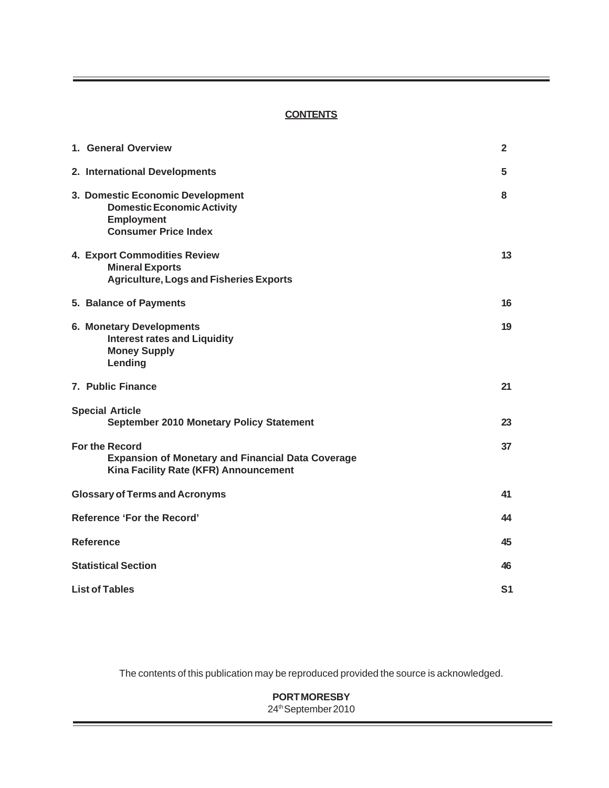## **CONTENTS**

| 1. General Overview                                                                                                        | $\mathbf{2}$ |  |
|----------------------------------------------------------------------------------------------------------------------------|--------------|--|
| 2. International Developments                                                                                              | 5.           |  |
| 3. Domestic Economic Development<br><b>Domestic Economic Activity</b><br><b>Employment</b><br><b>Consumer Price Index</b>  | 8            |  |
| 4. Export Commodities Review<br><b>Mineral Exports</b><br><b>Agriculture, Logs and Fisheries Exports</b>                   | 13           |  |
| 5. Balance of Payments                                                                                                     | 16           |  |
| 6. Monetary Developments<br><b>Interest rates and Liquidity</b><br><b>Money Supply</b><br>Lending                          | 19           |  |
| 7. Public Finance                                                                                                          | 21           |  |
| <b>Special Article</b><br>September 2010 Monetary Policy Statement                                                         | 23           |  |
| <b>For the Record</b><br><b>Expansion of Monetary and Financial Data Coverage</b><br>Kina Facility Rate (KFR) Announcement | 37           |  |
| <b>Glossary of Terms and Acronyms</b>                                                                                      | 41           |  |
| Reference 'For the Record'                                                                                                 | 44           |  |
| <b>Reference</b>                                                                                                           |              |  |
| <b>Statistical Section</b>                                                                                                 |              |  |
| <b>List of Tables</b>                                                                                                      |              |  |

The contents of this publication may be reproduced provided the source is acknowledged.

# **PORT MORESBY** 24th September 2010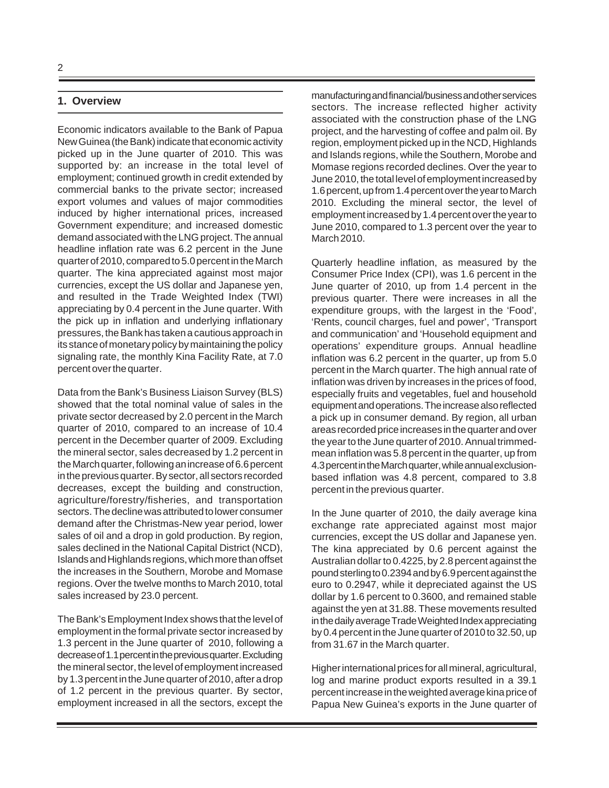## **1. Overview**

Economic indicators available to the Bank of Papua New Guinea (the Bank) indicate that economic activity picked up in the June quarter of 2010. This was supported by: an increase in the total level of employment; continued growth in credit extended by commercial banks to the private sector; increased export volumes and values of major commodities induced by higher international prices, increased Government expenditure; and increased domestic demand associated with the LNG project. The annual headline inflation rate was 6.2 percent in the June quarter of 2010, compared to 5.0 percent in the March quarter. The kina appreciated against most major currencies, except the US dollar and Japanese yen, and resulted in the Trade Weighted Index (TWI) appreciating by 0.4 percent in the June quarter. With the pick up in inflation and underlying inflationary pressures, the Bank has taken a cautious approach in its stance of monetary policy by maintaining the policy signaling rate, the monthly Kina Facility Rate, at 7.0 percent over the quarter.

Data from the Bank's Business Liaison Survey (BLS) showed that the total nominal value of sales in the private sector decreased by 2.0 percent in the March quarter of 2010, compared to an increase of 10.4 percent in the December quarter of 2009. Excluding the mineral sector, sales decreased by 1.2 percent in the March quarter, following an increase of 6.6 percent in the previous quarter. By sector, all sectors recorded decreases, except the building and construction, agriculture/forestry/fisheries, and transportation sectors. The decline was attributed to lower consumer demand after the Christmas-New year period, lower sales of oil and a drop in gold production. By region, sales declined in the National Capital District (NCD), Islands and Highlands regions, which more than offset the increases in the Southern, Morobe and Momase regions. Over the twelve months to March 2010, total sales increased by 23.0 percent.

The Bank's Employment Index shows that the level of employment in the formal private sector increased by 1.3 percent in the June quarter of 2010, following a decrease of 1.1 percent in the previous quarter. Excluding the mineral sector, the level of employment increased by 1.3 percent in the June quarter of 2010, after a drop of 1.2 percent in the previous quarter. By sector, employment increased in all the sectors, except the manufacturing and financial/business and other services sectors. The increase reflected higher activity associated with the construction phase of the LNG project, and the harvesting of coffee and palm oil. By region, employment picked up in the NCD, Highlands and Islands regions, while the Southern, Morobe and Momase regions recorded declines. Over the year to June 2010, the total level of employment increased by 1.6 percent, up from 1.4 percent over the year to March 2010. Excluding the mineral sector, the level of employment increased by 1.4 percent over the year to June 2010, compared to 1.3 percent over the year to March 2010.

Quarterly headline inflation, as measured by the Consumer Price Index (CPI), was 1.6 percent in the June quarter of 2010, up from 1.4 percent in the previous quarter. There were increases in all the expenditure groups, with the largest in the 'Food', 'Rents, council charges, fuel and power', 'Transport and communication' and 'Household equipment and operations' expenditure groups. Annual headline inflation was 6.2 percent in the quarter, up from 5.0 percent in the March quarter. The high annual rate of inflation was driven by increases in the prices of food, especially fruits and vegetables, fuel and household equipment and operations. The increase also reflected a pick up in consumer demand. By region, all urban areas recorded price increases in the quarter and over the year to the June quarter of 2010. Annual trimmedmean inflation was 5.8 percent in the quarter, up from 4.3 percent in the March quarter, while annual exclusionbased inflation was 4.8 percent, compared to 3.8 percent in the previous quarter.

In the June quarter of 2010, the daily average kina exchange rate appreciated against most major currencies, except the US dollar and Japanese yen. The kina appreciated by 0.6 percent against the Australian dollar to 0.4225, by 2.8 percent against the pound sterling to 0.2394 and by 6.9 percent against the euro to 0.2947, while it depreciated against the US dollar by 1.6 percent to 0.3600, and remained stable against the yen at 31.88. These movements resulted in the daily average Trade Weighted Index appreciating by 0.4 percent in the June quarter of 2010 to 32.50, up from 31.67 in the March quarter.

Higher international prices for all mineral, agricultural, log and marine product exports resulted in a 39.1 percent increase in the weighted average kina price of Papua New Guinea's exports in the June quarter of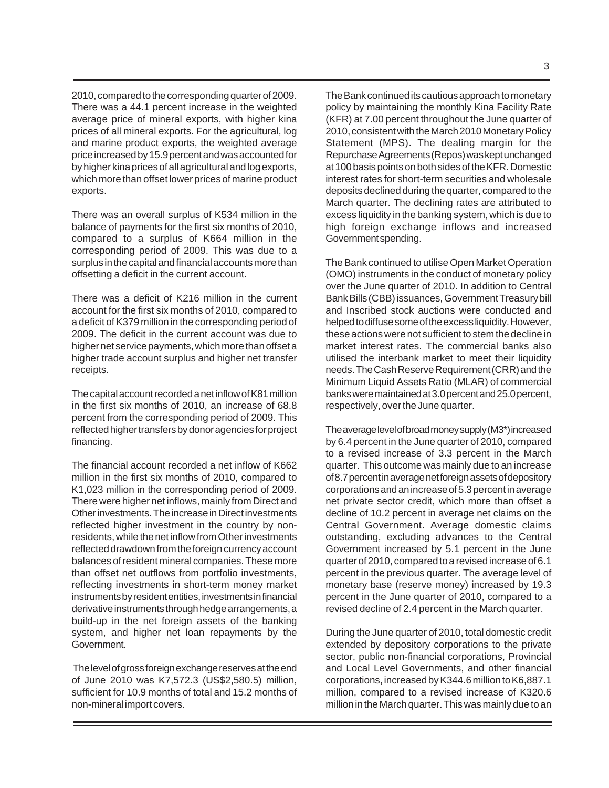2010, compared to the corresponding quarter of 2009. There was a 44.1 percent increase in the weighted average price of mineral exports, with higher kina prices of all mineral exports. For the agricultural, log and marine product exports, the weighted average price increased by 15.9 percent and was accounted for by higher kina prices of all agricultural and log exports, which more than offset lower prices of marine product exports.

There was an overall surplus of K534 million in the balance of payments for the first six months of 2010, compared to a surplus of K664 million in the corresponding period of 2009. This was due to a surplus in the capital and financial accounts more than offsetting a deficit in the current account.

There was a deficit of K216 million in the current account for the first six months of 2010, compared to a deficit of K379 million in the corresponding period of 2009. The deficit in the current account was due to higher net service payments, which more than offset a higher trade account surplus and higher net transfer receipts.

The capital account recorded a net inflow of K81 million in the first six months of 2010, an increase of 68.8 percent from the corresponding period of 2009. This reflected higher transfers by donor agencies for project financing.

The financial account recorded a net inflow of K662 million in the first six months of 2010, compared to K1,023 million in the corresponding period of 2009. There were higher net inflows, mainly from Direct and Other investments. The increase in Direct investments reflected higher investment in the country by nonresidents, while the net inflow from Other investments reflected drawdown from the foreign currency account balances of resident mineral companies. These more than offset net outflows from portfolio investments, reflecting investments in short-term money market instruments by resident entities, investments in financial derivative instruments through hedge arrangements, a build-up in the net foreign assets of the banking system, and higher net loan repayments by the Government.

 The level of gross foreign exchange reserves at the end of June 2010 was K7,572.3 (US\$2,580.5) million, sufficient for 10.9 months of total and 15.2 months of non-mineral import covers.

The Bank continued its cautious approach to monetary policy by maintaining the monthly Kina Facility Rate (KFR) at 7.00 percent throughout the June quarter of 2010, consistent with the March 2010 Monetary Policy Statement (MPS). The dealing margin for the Repurchase Agreements (Repos) was kept unchanged at 100 basis points on both sides of the KFR. Domestic interest rates for short-term securities and wholesale deposits declined during the quarter, compared to the March quarter. The declining rates are attributed to excess liquidity in the banking system, which is due to high foreign exchange inflows and increased Government spending.

The Bank continued to utilise Open Market Operation (OMO) instruments in the conduct of monetary policy over the June quarter of 2010. In addition to Central Bank Bills (CBB) issuances, Government Treasury bill and Inscribed stock auctions were conducted and helped to diffuse some of the excess liquidity. However, these actions were not sufficient to stem the decline in market interest rates. The commercial banks also utilised the interbank market to meet their liquidity needs. The Cash Reserve Requirement (CRR) and the Minimum Liquid Assets Ratio (MLAR) of commercial banks were maintained at 3.0 percent and 25.0 percent, respectively, over the June quarter.

The average level of broad money supply (M3\*) increased by 6.4 percent in the June quarter of 2010, compared to a revised increase of 3.3 percent in the March quarter. This outcome was mainly due to an increase of 8.7 percent in average net foreign assets of depository corporations and an increase of 5.3 percent in average net private sector credit, which more than offset a decline of 10.2 percent in average net claims on the Central Government. Average domestic claims outstanding, excluding advances to the Central Government increased by 5.1 percent in the June quarter of 2010, compared to a revised increase of 6.1 percent in the previous quarter. The average level of monetary base (reserve money) increased by 19.3 percent in the June quarter of 2010, compared to a revised decline of 2.4 percent in the March quarter.

During the June quarter of 2010, total domestic credit extended by depository corporations to the private sector, public non-financial corporations, Provincial and Local Level Governments, and other financial corporations, increased by K344.6 million to K6,887.1 million, compared to a revised increase of K320.6 million in the March quarter. This was mainly due to an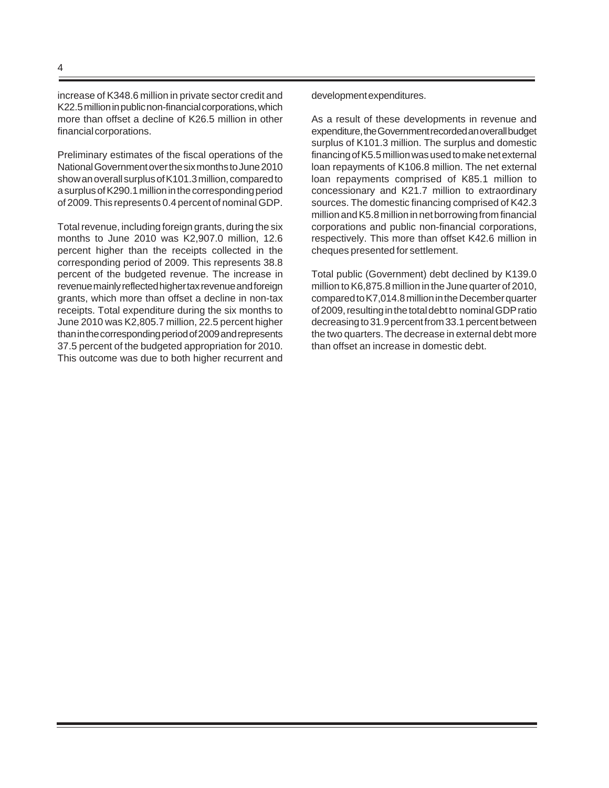increase of K348.6 million in private sector credit and K22.5 million in public non-financial corporations, which more than offset a decline of K26.5 million in other financial corporations.

Preliminary estimates of the fiscal operations of the National Government over the six months to June 2010 show an overall surplus of K101.3 million, compared to a surplus of K290.1 million in the corresponding period of 2009. This represents 0.4 percent of nominal GDP.

Total revenue, including foreign grants, during the six months to June 2010 was K2,907.0 million, 12.6 percent higher than the receipts collected in the corresponding period of 2009. This represents 38.8 percent of the budgeted revenue. The increase in revenue mainly reflected higher tax revenue and foreign grants, which more than offset a decline in non-tax receipts. Total expenditure during the six months to June 2010 was K2,805.7 million, 22.5 percent higher than in the corresponding period of 2009 and represents 37.5 percent of the budgeted appropriation for 2010. This outcome was due to both higher recurrent and

development expenditures.

As a result of these developments in revenue and expenditure, the Government recorded an overall budget surplus of K101.3 million. The surplus and domestic financing of K5.5 million was used to make net external loan repayments of K106.8 million. The net external loan repayments comprised of K85.1 million to concessionary and K21.7 million to extraordinary sources. The domestic financing comprised of K42.3 million and K5.8 million in net borrowing from financial corporations and public non-financial corporations, respectively. This more than offset K42.6 million in cheques presented for settlement.

Total public (Government) debt declined by K139.0 million to K6,875.8 million in the June quarter of 2010, compared to K7,014.8 million in the December quarter of 2009, resulting in the total debt to nominal GDP ratio decreasing to 31.9 percent from 33.1 percent between the two quarters. The decrease in external debt more than offset an increase in domestic debt.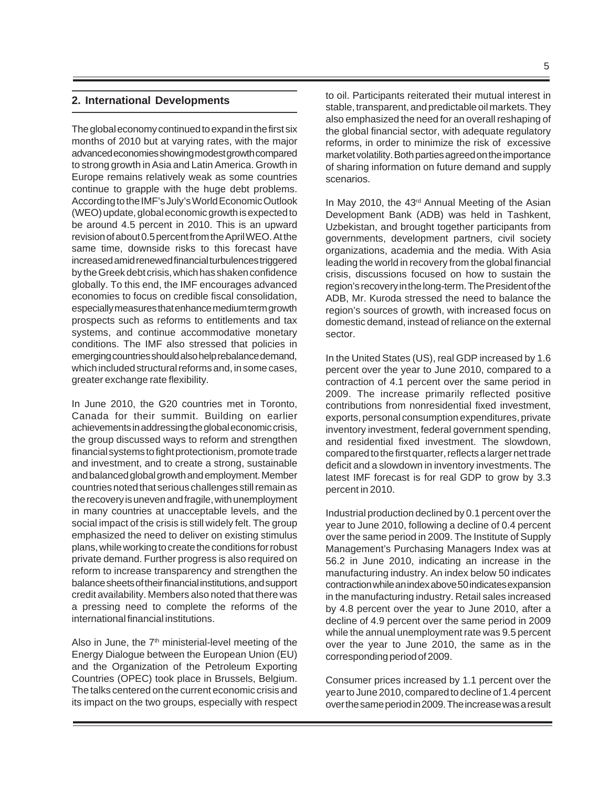## **2. International Developments**

The global economy continued to expand in the first six months of 2010 but at varying rates, with the major advanced economies showing modest growth compared to strong growth in Asia and Latin America. Growth in Europe remains relatively weak as some countries continue to grapple with the huge debt problems. According to the IMF's July's World Economic Outlook (WEO) update, global economic growth is expected to be around 4.5 percent in 2010. This is an upward revision of about 0.5 percent from the April WEO. At the same time, downside risks to this forecast have increased amid renewed financial turbulences triggered by the Greek debt crisis, which has shaken confidence globally. To this end, the IMF encourages advanced economies to focus on credible fiscal consolidation, especially measures that enhance medium term growth prospects such as reforms to entitlements and tax systems, and continue accommodative monetary conditions. The IMF also stressed that policies in emerging countries should also help rebalance demand, which included structural reforms and, in some cases, greater exchange rate flexibility.

In June 2010, the G20 countries met in Toronto, Canada for their summit. Building on earlier achievements in addressing the global economic crisis, the group discussed ways to reform and strengthen financial systems to fight protectionism, promote trade and investment, and to create a strong, sustainable and balanced global growth and employment. Member countries noted that serious challenges still remain as the recovery is uneven and fragile, with unemployment in many countries at unacceptable levels, and the social impact of the crisis is still widely felt. The group emphasized the need to deliver on existing stimulus plans, while working to create the conditions for robust private demand. Further progress is also required on reform to increase transparency and strengthen the balance sheets of their financial institutions, and support credit availability. Members also noted that there was a pressing need to complete the reforms of the international financial institutions.

Also in June, the 7<sup>th</sup> ministerial-level meeting of the Energy Dialogue between the European Union (EU) and the Organization of the Petroleum Exporting Countries (OPEC) took place in Brussels, Belgium. The talks centered on the current economic crisis and its impact on the two groups, especially with respect to oil. Participants reiterated their mutual interest in stable, transparent, and predictable oil markets. They also emphasized the need for an overall reshaping of the global financial sector, with adequate regulatory reforms, in order to minimize the risk of excessive market volatility. Both parties agreed on the importance of sharing information on future demand and supply scenarios.

In May 2010, the 43<sup>rd</sup> Annual Meeting of the Asian Development Bank (ADB) was held in Tashkent, Uzbekistan, and brought together participants from governments, development partners, civil society organizations, academia and the media. With Asia leading the world in recovery from the global financial crisis, discussions focused on how to sustain the region's recovery in the long-term. The President of the ADB, Mr. Kuroda stressed the need to balance the region's sources of growth, with increased focus on domestic demand, instead of reliance on the external sector.

In the United States (US), real GDP increased by 1.6 percent over the year to June 2010, compared to a contraction of 4.1 percent over the same period in 2009. The increase primarily reflected positive contributions from nonresidential fixed investment, exports, personal consumption expenditures, private inventory investment, federal government spending, and residential fixed investment. The slowdown, compared to the first quarter, reflects a larger net trade deficit and a slowdown in inventory investments. The latest IMF forecast is for real GDP to grow by 3.3 percent in 2010.

Industrial production declined by 0.1 percent over the year to June 2010, following a decline of 0.4 percent over the same period in 2009. The Institute of Supply Management's Purchasing Managers Index was at 56.2 in June 2010, indicating an increase in the manufacturing industry. An index below 50 indicates contraction while an index above 50 indicates expansion in the manufacturing industry. Retail sales increased by 4.8 percent over the year to June 2010, after a decline of 4.9 percent over the same period in 2009 while the annual unemployment rate was 9.5 percent over the year to June 2010, the same as in the corresponding period of 2009.

Consumer prices increased by 1.1 percent over the year to June 2010, compared to decline of 1.4 percent over the same period in 2009. The increase was a result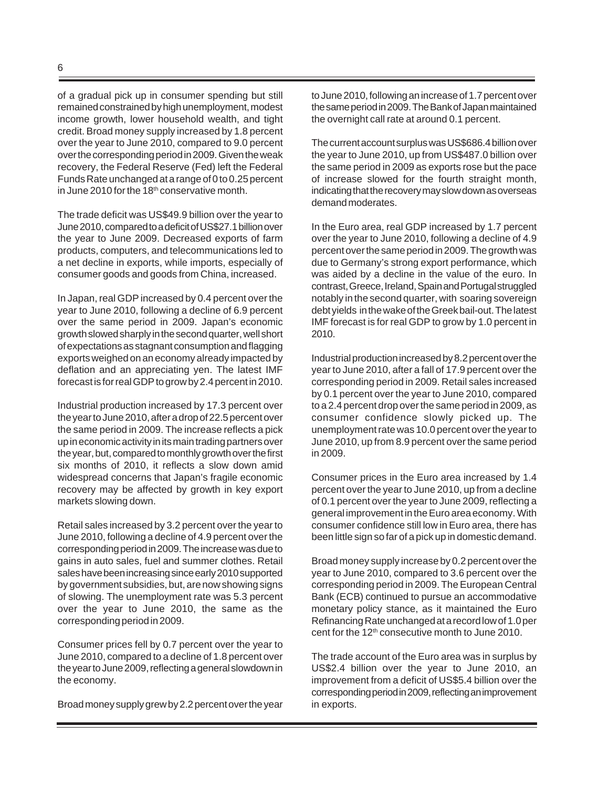of a gradual pick up in consumer spending but still remained constrained by high unemployment, modest income growth, lower household wealth, and tight credit. Broad money supply increased by 1.8 percent over the year to June 2010, compared to 9.0 percent over the corresponding period in 2009. Given the weak recovery, the Federal Reserve (Fed) left the Federal Funds Rate unchanged at a range of 0 to 0.25 percent in June 2010 for the 18<sup>th</sup> conservative month.

The trade deficit was US\$49.9 billion over the year to June 2010, compared to a deficit of US\$27.1 billion over the year to June 2009. Decreased exports of farm products, computers, and telecommunications led to a net decline in exports, while imports, especially of consumer goods and goods from China, increased.

In Japan, real GDP increased by 0.4 percent over the year to June 2010, following a decline of 6.9 percent over the same period in 2009. Japan's economic growth slowed sharply in the second quarter, well short of expectations as stagnant consumption and flagging exports weighed on an economy already impacted by deflation and an appreciating yen. The latest IMF forecast is for real GDP to grow by 2.4 percent in 2010.

Industrial production increased by 17.3 percent over the year to June 2010, after a drop of 22.5 percent over the same period in 2009. The increase reflects a pick up in economic activity in its main trading partners over the year, but, compared to monthly growth over the first six months of 2010, it reflects a slow down amid widespread concerns that Japan's fragile economic recovery may be affected by growth in key export markets slowing down.

Retail sales increased by 3.2 percent over the year to June 2010, following a decline of 4.9 percent over the corresponding period in 2009. The increase was due to gains in auto sales, fuel and summer clothes. Retail sales have been increasing since early 2010 supported by government subsidies, but, are now showing signs of slowing. The unemployment rate was 5.3 percent over the year to June 2010, the same as the corresponding period in 2009.

Consumer prices fell by 0.7 percent over the year to June 2010, compared to a decline of 1.8 percent over the year to June 2009, reflecting a general slowdown in the economy.

Broad money supply grew by 2.2 percent over the year

to June 2010, following an increase of 1.7 percent over the same period in 2009. The Bank of Japan maintained the overnight call rate at around 0.1 percent.

The current account surplus was US\$686.4 billion over the year to June 2010, up from US\$487.0 billion over the same period in 2009 as exports rose but the pace of increase slowed for the fourth straight month, indicating that the recovery may slow down as overseas demand moderates.

In the Euro area, real GDP increased by 1.7 percent over the year to June 2010, following a decline of 4.9 percent over the same period in 2009. The growth was due to Germany's strong export performance, which was aided by a decline in the value of the euro. In contrast, Greece, Ireland, Spain and Portugal struggled notably in the second quarter, with soaring sovereign debt yields in the wake of the Greek bail-out. The latest IMF forecast is for real GDP to grow by 1.0 percent in 2010.

Industrial production increased by 8.2 percent over the year to June 2010, after a fall of 17.9 percent over the corresponding period in 2009. Retail sales increased by 0.1 percent over the year to June 2010, compared to a 2.4 percent drop over the same period in 2009, as consumer confidence slowly picked up. The unemployment rate was 10.0 percent over the year to June 2010, up from 8.9 percent over the same period in 2009.

Consumer prices in the Euro area increased by 1.4 percent over the year to June 2010, up from a decline of 0.1 percent over the year to June 2009, reflecting a general improvement in the Euro area economy. With consumer confidence still low in Euro area, there has been little sign so far of a pick up in domestic demand.

Broad money supply increase by 0.2 percent over the year to June 2010, compared to 3.6 percent over the corresponding period in 2009. The European Central Bank (ECB) continued to pursue an accommodative monetary policy stance, as it maintained the Euro Refinancing Rate unchanged at a record low of 1.0 per cent for the 12<sup>th</sup> consecutive month to June 2010.

The trade account of the Euro area was in surplus by US\$2.4 billion over the year to June 2010, an improvement from a deficit of US\$5.4 billion over the corresponding period in 2009, reflecting an improvement in exports.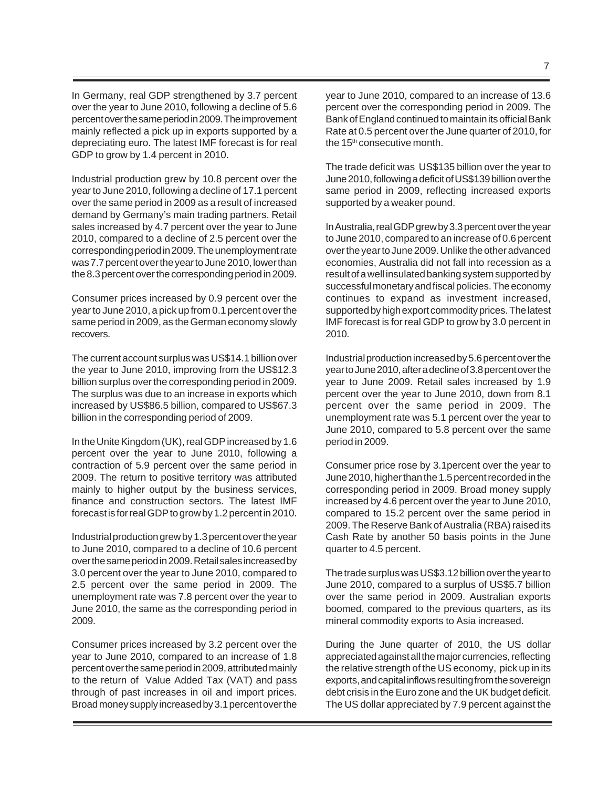In Germany, real GDP strengthened by 3.7 percent over the year to June 2010, following a decline of 5.6 percent over the same period in 2009. The improvement mainly reflected a pick up in exports supported by a depreciating euro. The latest IMF forecast is for real GDP to grow by 1.4 percent in 2010.

Industrial production grew by 10.8 percent over the year to June 2010, following a decline of 17.1 percent over the same period in 2009 as a result of increased demand by Germany's main trading partners. Retail sales increased by 4.7 percent over the year to June 2010, compared to a decline of 2.5 percent over the corresponding period in 2009. The unemployment rate was 7.7 percent over the year to June 2010, lower than the 8.3 percent over the corresponding period in 2009.

Consumer prices increased by 0.9 percent over the year to June 2010, a pick up from 0.1 percent over the same period in 2009, as the German economy slowly recovers.

The current account surplus was US\$14.1 billion over the year to June 2010, improving from the US\$12.3 billion surplus over the corresponding period in 2009. The surplus was due to an increase in exports which increased by US\$86.5 billion, compared to US\$67.3 billion in the corresponding period of 2009.

In the Unite Kingdom (UK), real GDP increased by 1.6 percent over the year to June 2010, following a contraction of 5.9 percent over the same period in 2009. The return to positive territory was attributed mainly to higher output by the business services, finance and construction sectors. The latest IMF forecast is for real GDP to grow by 1.2 percent in 2010.

Industrial production grew by 1.3 percent over the year to June 2010, compared to a decline of 10.6 percent over the same period in 2009. Retail sales increased by 3.0 percent over the year to June 2010, compared to 2.5 percent over the same period in 2009. The unemployment rate was 7.8 percent over the year to June 2010, the same as the corresponding period in 2009.

Consumer prices increased by 3.2 percent over the year to June 2010, compared to an increase of 1.8 percent over the same period in 2009, attributed mainly to the return of Value Added Tax (VAT) and pass through of past increases in oil and import prices. Broad money supply increased by 3.1 percent over the

year to June 2010, compared to an increase of 13.6 percent over the corresponding period in 2009. The Bank of England continued to maintain its official Bank Rate at 0.5 percent over the June quarter of 2010, for the 15<sup>th</sup> consecutive month.

The trade deficit was US\$135 billion over the year to June 2010, following a deficit of US\$139 billion over the same period in 2009, reflecting increased exports supported by a weaker pound.

In Australia, real GDP grew by 3.3 percent over the year to June 2010, compared to an increase of 0.6 percent over the year to June 2009. Unlike the other advanced economies, Australia did not fall into recession as a result of a well insulated banking system supported by successful monetary and fiscal policies. The economy continues to expand as investment increased, supported by high export commodity prices. The latest IMF forecast is for real GDP to grow by 3.0 percent in 2010.

Industrial production increased by 5.6 percent over the year to June 2010, after a decline of 3.8 percent over the year to June 2009. Retail sales increased by 1.9 percent over the year to June 2010, down from 8.1 percent over the same period in 2009. The unemployment rate was 5.1 percent over the year to June 2010, compared to 5.8 percent over the same period in 2009.

Consumer price rose by 3.1percent over the year to June 2010, higher than the 1.5 percent recorded in the corresponding period in 2009. Broad money supply increased by 4.6 percent over the year to June 2010, compared to 15.2 percent over the same period in 2009. The Reserve Bank of Australia (RBA) raised its Cash Rate by another 50 basis points in the June quarter to 4.5 percent.

The trade surplus was US\$3.12 billion over the year to June 2010, compared to a surplus of US\$5.7 billion over the same period in 2009. Australian exports boomed, compared to the previous quarters, as its mineral commodity exports to Asia increased.

During the June quarter of 2010, the US dollar appreciated against all the major currencies, reflecting the relative strength of the US economy, pick up in its exports, and capital inflows resulting from the sovereign debt crisis in the Euro zone and the UK budget deficit. The US dollar appreciated by 7.9 percent against the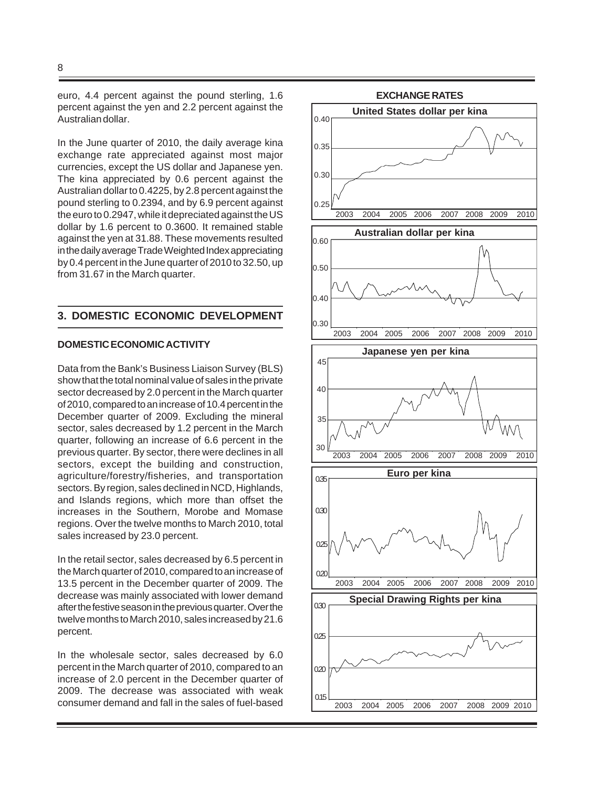8

euro, 4.4 percent against the pound sterling, 1.6 percent against the yen and 2.2 percent against the Australian dollar.

In the June quarter of 2010, the daily average kina exchange rate appreciated against most major currencies, except the US dollar and Japanese yen. The kina appreciated by 0.6 percent against the Australian dollar to 0.4225, by 2.8 percent against the pound sterling to 0.2394, and by 6.9 percent against the euro to 0.2947, while it depreciated against the US dollar by 1.6 percent to 0.3600. It remained stable against the yen at 31.88. These movements resulted in the daily average Trade Weighted Index appreciating by 0.4 percent in the June quarter of 2010 to 32.50, up from 31.67 in the March quarter.

# **3. DOMESTIC ECONOMIC DEVELOPMENT**

# **DOMESTIC ECONOMIC ACTIVITY**

Data from the Bank's Business Liaison Survey (BLS) show that the total nominal value of sales in the private sector decreased by 2.0 percent in the March quarter of 2010, compared to an increase of 10.4 percent in the December quarter of 2009. Excluding the mineral sector, sales decreased by 1.2 percent in the March quarter, following an increase of 6.6 percent in the previous quarter. By sector, there were declines in all sectors, except the building and construction, agriculture/forestry/fisheries, and transportation sectors. By region, sales declined in NCD, Highlands, and Islands regions, which more than offset the increases in the Southern, Morobe and Momase regions. Over the twelve months to March 2010, total sales increased by 23.0 percent.

In the retail sector, sales decreased by 6.5 percent in the March quarter of 2010, compared to an increase of 13.5 percent in the December quarter of 2009. The decrease was mainly associated with lower demand after the festive season in the previous quarter. Over the twelve months to March 2010, sales increased by 21.6 percent.

In the wholesale sector, sales decreased by 6.0 percent in the March quarter of 2010, compared to an increase of 2.0 percent in the December quarter of 2009. The decrease was associated with weak consumer demand and fall in the sales of fuel-based

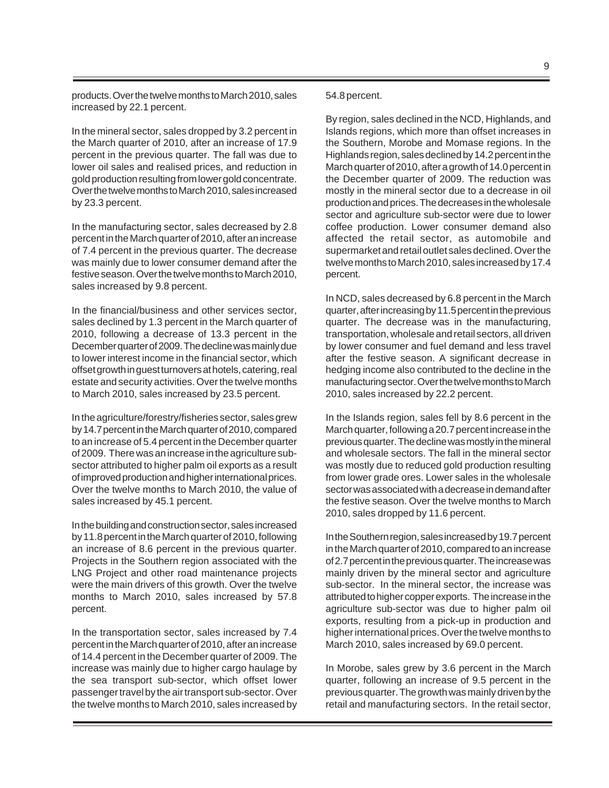products. Over the twelve months to March 2010, sales increased by 22.1 percent.

In the mineral sector, sales dropped by 3.2 percent in the March quarter of 2010, after an increase of 17.9 percent in the previous quarter. The fall was due to lower oil sales and realised prices, and reduction in gold production resulting from lower gold concentrate. Over the twelve months to March 2010, sales increased by 23.3 percent.

In the manufacturing sector, sales decreased by 2.8 percent in the March quarter of 2010, after an increase of 7.4 percent in the previous quarter. The decrease was mainly due to lower consumer demand after the festive season. Over the twelve months to March 2010, sales increased by 9.8 percent.

In the financial/business and other services sector, sales declined by 1.3 percent in the March quarter of 2010, following a decrease of 13.3 percent in the December quarter of 2009. The decline was mainly due to lower interest income in the financial sector, which offset growth in guest turnovers at hotels, catering, real estate and security activities. Over the twelve months to March 2010, sales increased by 23.5 percent.

In the agriculture/forestry/fisheries sector, sales grew by 14.7 percent in the March quarter of 2010, compared to an increase of 5.4 percent in the December quarter of 2009. There was an increase in the agriculture subsector attributed to higher palm oil exports as a result of improved production and higher international prices. Over the twelve months to March 2010, the value of sales increased by 45.1 percent.

In the building and construction sector, sales increased by 11.8 percent in the March quarter of 2010, following an increase of 8.6 percent in the previous quarter. Projects in the Southern region associated with the LNG Project and other road maintenance projects were the main drivers of this growth. Over the twelve months to March 2010, sales increased by 57.8 percent.

In the transportation sector, sales increased by 7.4 percent in the March quarter of 2010, after an increase of 14.4 percent in the December quarter of 2009. The increase was mainly due to higher cargo haulage by the sea transport sub-sector, which offset lower passenger travel by the air transport sub-sector. Over the twelve months to March 2010, sales increased by

#### 54.8 percent.

By region, sales declined in the NCD, Highlands, and Islands regions, which more than offset increases in the Southern, Morobe and Momase regions. In the Highlands region, sales declined by 14.2 percent in the March quarter of 2010, after a growth of 14.0 percent in the December quarter of 2009. The reduction was mostly in the mineral sector due to a decrease in oil production and prices. The decreases in the wholesale sector and agriculture sub-sector were due to lower coffee production. Lower consumer demand also affected the retail sector, as automobile and supermarket and retail outlet sales declined. Over the twelve months to March 2010, sales increased by 17.4 percent.

In NCD, sales decreased by 6.8 percent in the March quarter, after increasing by 11.5 percent in the previous quarter. The decrease was in the manufacturing, transportation, wholesale and retail sectors, all driven by lower consumer and fuel demand and less travel after the festive season. A significant decrease in hedging income also contributed to the decline in the manufacturing sector. Over the twelve months to March 2010, sales increased by 22.2 percent.

In the Islands region, sales fell by 8.6 percent in the March quarter, following a 20.7 percent increase in the previous quarter. The decline was mostly in the mineral and wholesale sectors. The fall in the mineral sector was mostly due to reduced gold production resulting from lower grade ores. Lower sales in the wholesale sector was associated with a decrease in demand after the festive season. Over the twelve months to March 2010, sales dropped by 11.6 percent.

In the Southern region, sales increased by 19.7 percent in the March quarter of 2010, compared to an increase of 2.7 percent in the previous quarter. The increase was mainly driven by the mineral sector and agriculture sub-sector. In the mineral sector, the increase was attributed to higher copper exports. The increase in the agriculture sub-sector was due to higher palm oil exports, resulting from a pick-up in production and higher international prices. Over the twelve months to March 2010, sales increased by 69.0 percent.

In Morobe, sales grew by 3.6 percent in the March quarter, following an increase of 9.5 percent in the previous quarter. The growth was mainly driven by the retail and manufacturing sectors. In the retail sector,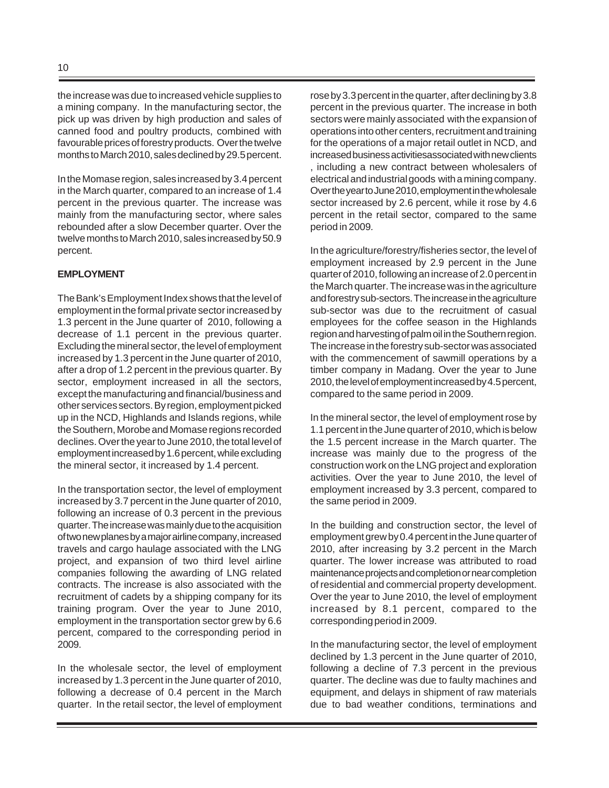the increase was due to increased vehicle supplies to a mining company. In the manufacturing sector, the pick up was driven by high production and sales of canned food and poultry products, combined with favourable prices of forestry products. Over the twelve months to March 2010, sales declined by 29.5 percent.

In the Momase region, sales increased by 3.4 percent in the March quarter, compared to an increase of 1.4 percent in the previous quarter. The increase was mainly from the manufacturing sector, where sales rebounded after a slow December quarter. Over the twelve months to March 2010, sales increased by 50.9 percent.

# **EMPLOYMENT**

The Bank's Employment Index shows that the level of employment in the formal private sector increased by 1.3 percent in the June quarter of 2010, following a decrease of 1.1 percent in the previous quarter. Excluding the mineral sector, the level of employment increased by 1.3 percent in the June quarter of 2010, after a drop of 1.2 percent in the previous quarter. By sector, employment increased in all the sectors, except the manufacturing and financial/business and other services sectors. By region, employment picked up in the NCD, Highlands and Islands regions, while the Southern, Morobe and Momase regions recorded declines. Over the year to June 2010, the total level of employment increased by 1.6 percent, while excluding the mineral sector, it increased by 1.4 percent.

In the transportation sector, the level of employment increased by 3.7 percent in the June quarter of 2010, following an increase of 0.3 percent in the previous quarter. The increase was mainly due to the acquisition of two new planes by a major airline company, increased travels and cargo haulage associated with the LNG project, and expansion of two third level airline companies following the awarding of LNG related contracts. The increase is also associated with the recruitment of cadets by a shipping company for its training program. Over the year to June 2010, employment in the transportation sector grew by 6.6 percent, compared to the corresponding period in 2009.

In the wholesale sector, the level of employment increased by 1.3 percent in the June quarter of 2010, following a decrease of 0.4 percent in the March quarter. In the retail sector, the level of employment rose by 3.3 percent in the quarter, after declining by 3.8 percent in the previous quarter. The increase in both sectors were mainly associated with the expansion of operations into other centers, recruitment and training for the operations of a major retail outlet in NCD, and increased business activitiesassociated with new clients , including a new contract between wholesalers of electrical and industrial goods with a mining company. Over the year to June 2010, employment in the wholesale sector increased by 2.6 percent, while it rose by 4.6 percent in the retail sector, compared to the same period in 2009*.*

In the agriculture/forestry/fisheries sector, the level of employment increased by 2.9 percent in the June quarter of 2010, following an increase of 2.0 percent in the March quarter. The increase was in the agriculture and forestry sub-sectors. The increase in the agriculture sub-sector was due to the recruitment of casual employees for the coffee season in the Highlands region and harvesting of palm oil in the Southern region. The increase in the forestry sub-sector was associated with the commencement of sawmill operations by a timber company in Madang. Over the year to June 2010, the level of employment increased by 4.5 percent, compared to the same period in 2009.

In the mineral sector, the level of employment rose by 1.1 percent in the June quarter of 2010, which is below the 1.5 percent increase in the March quarter. The increase was mainly due to the progress of the construction work on the LNG project and exploration activities. Over the year to June 2010, the level of employment increased by 3.3 percent, compared to the same period in 2009.

In the building and construction sector, the level of employment grew by 0.4 percent in the June quarter of 2010, after increasing by 3.2 percent in the March quarter. The lower increase was attributed to road maintenance projects and completion or near completion of residential and commercial property development. Over the year to June 2010, the level of employment increased by 8.1 percent, compared to the corresponding period in 2009.

In the manufacturing sector, the level of employment declined by 1.3 percent in the June quarter of 2010, following a decline of 7.3 percent in the previous quarter. The decline was due to faulty machines and equipment, and delays in shipment of raw materials due to bad weather conditions, terminations and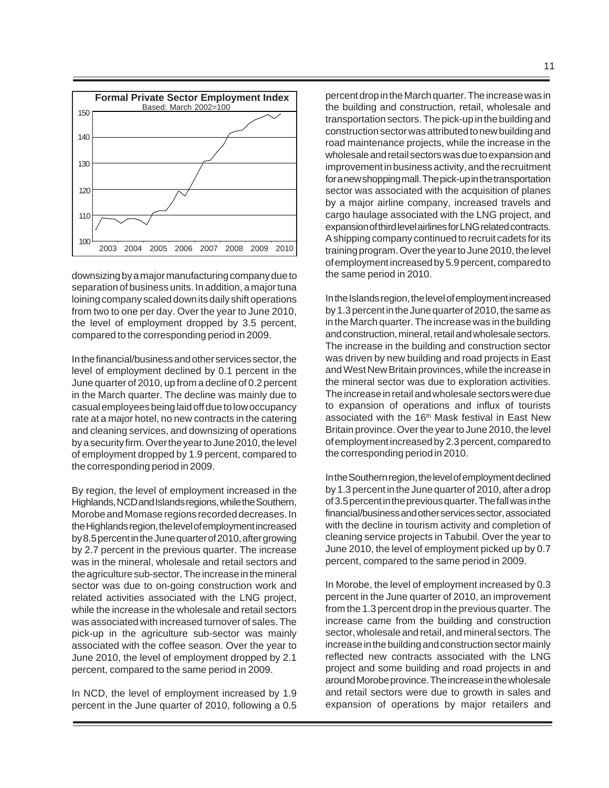

downsizing by a major manufacturing company due to separation of business units. In addition, a major tuna loining company scaled down its daily shift operations from two to one per day. Over the year to June 2010, the level of employment dropped by 3.5 percent, compared to the corresponding period in 2009.

In the financial/business and other services sector, the level of employment declined by 0.1 percent in the June quarter of 2010, up from a decline of 0.2 percent in the March quarter. The decline was mainly due to casual employees being laid off due to low occupancy rate at a major hotel, no new contracts in the catering and cleaning services, and downsizing of operations by a security firm. Over the year to June 2010, the level of employment dropped by 1.9 percent, compared to the corresponding period in 2009.

By region, the level of employment increased in the Highlands, NCD and Islands regions, while the Southern, Morobe and Momase regions recorded decreases. In the Highlands region, the level of employment increased by 8.5 percent in the June quarter of 2010, after growing by 2.7 percent in the previous quarter. The increase was in the mineral, wholesale and retail sectors and the agriculture sub-sector. The increase in the mineral sector was due to on-going construction work and related activities associated with the LNG project, while the increase in the wholesale and retail sectors was associated with increased turnover of sales. The pick-up in the agriculture sub-sector was mainly associated with the coffee season. Over the year to June 2010, the level of employment dropped by 2.1 percent, compared to the same period in 2009.

In NCD, the level of employment increased by 1.9 percent in the June quarter of 2010, following a 0.5

percent drop in the March quarter. The increase was in the building and construction, retail, wholesale and transportation sectors. The pick-up in the building and construction sector was attributed to new building and road maintenance projects, while the increase in the wholesale and retail sectors was due to expansion and improvement in business activity, and the recruitment for a new shopping mall. The pick-up in the transportation sector was associated with the acquisition of planes by a major airline company, increased travels and cargo haulage associated with the LNG project, and expansion of third level airlines for LNG related contracts. A shipping company continued to recruit cadets for its training program. Over the year to June 2010, the level of employment increased by 5.9 percent, compared to the same period in 2010.

In the Islands region, the level of employment increased by 1.3 percent in the June quarter of 2010, the same as in the March quarter. The increase was in the building and construction, mineral, retail and wholesale sectors. The increase in the building and construction sector was driven by new building and road projects in East and West New Britain provinces, while the increase in the mineral sector was due to exploration activities. The increase in retail and wholesale sectors were due to expansion of operations and influx of tourists associated with the 16<sup>th</sup> Mask festival in East New Britain province. Over the year to June 2010, the level of employment increased by 2.3 percent, compared to the corresponding period in 2010.

In the Southern region, the level of employment declined by 1.3 percent in the June quarter of 2010, after a drop of 3.5 percent in the previous quarter. The fall was in the financial/business and other services sector, associated with the decline in tourism activity and completion of cleaning service projects in Tabubil. Over the year to June 2010, the level of employment picked up by 0.7 percent, compared to the same period in 2009.

In Morobe, the level of employment increased by 0.3 percent in the June quarter of 2010, an improvement from the 1.3 percent drop in the previous quarter. The increase came from the building and construction sector, wholesale and retail, and mineral sectors. The increase in the building and construction sector mainly reflected new contracts associated with the LNG project and some building and road projects in and around Morobe province. The increase in the wholesale and retail sectors were due to growth in sales and expansion of operations by major retailers and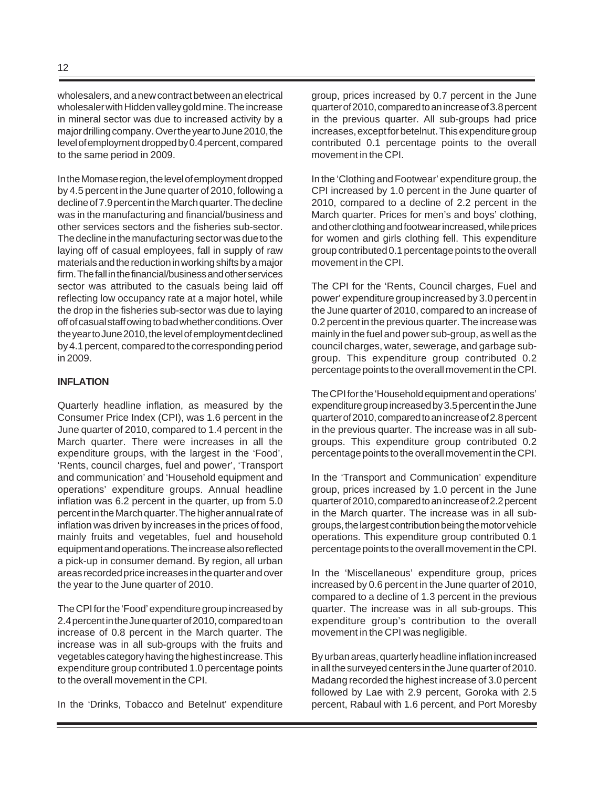wholesalers, and a new contract between an electrical wholesaler with Hidden valley gold mine. The increase in mineral sector was due to increased activity by a major drilling company. Over the year to June 2010, the level of employment dropped by 0.4 percent, compared to the same period in 2009.

In the Momase region, the level of employment dropped by 4.5 percent in the June quarter of 2010, following a decline of 7.9 percent in the March quarter. The decline was in the manufacturing and financial/business and other services sectors and the fisheries sub-sector. The decline in the manufacturing sector was due to the laying off of casual employees, fall in supply of raw materials and the reduction in working shifts by a major firm. The fall in the financial/business and other services sector was attributed to the casuals being laid off reflecting low occupancy rate at a major hotel, while the drop in the fisheries sub-sector was due to laying off of casual staff owing to bad whether conditions. Over the year to June 2010, the level of employment declined by 4.1 percent, compared to the corresponding period in 2009.

#### **INFLATION**

Quarterly headline inflation, as measured by the Consumer Price Index (CPI), was 1.6 percent in the June quarter of 2010, compared to 1.4 percent in the March quarter. There were increases in all the expenditure groups, with the largest in the 'Food', 'Rents, council charges, fuel and power', 'Transport and communication' and 'Household equipment and operations' expenditure groups. Annual headline inflation was 6.2 percent in the quarter, up from 5.0 percent in the March quarter. The higher annual rate of inflation was driven by increases in the prices of food, mainly fruits and vegetables, fuel and household equipment and operations. The increase also reflected a pick-up in consumer demand. By region, all urban areas recorded price increases in the quarter and over the year to the June quarter of 2010.

The CPI for the 'Food' expenditure group increased by 2.4 percent in the June quarter of 2010, compared to an increase of 0.8 percent in the March quarter. The increase was in all sub-groups with the fruits and vegetables category having the highest increase. This expenditure group contributed 1.0 percentage points to the overall movement in the CPI.

In the 'Drinks, Tobacco and Betelnut' expenditure

group, prices increased by 0.7 percent in the June quarter of 2010, compared to an increase of 3.8 percent in the previous quarter. All sub-groups had price increases, except for betelnut. This expenditure group contributed 0.1 percentage points to the overall movement in the CPI.

In the 'Clothing and Footwear' expenditure group, the CPI increased by 1.0 percent in the June quarter of 2010, compared to a decline of 2.2 percent in the March quarter. Prices for men's and boys' clothing, and other clothing and footwear increased, while prices for women and girls clothing fell. This expenditure group contributed 0.1 percentage points to the overall movement in the CPI.

The CPI for the 'Rents, Council charges, Fuel and power' expenditure group increased by 3.0 percent in the June quarter of 2010, compared to an increase of 0.2 percent in the previous quarter. The increase was mainly in the fuel and power sub-group, as well as the council charges, water, sewerage, and garbage subgroup. This expenditure group contributed 0.2 percentage points to the overall movement in the CPI.

The CPI for the 'Household equipment and operations' expenditure group increased by 3.5 percent in the June quarter of 2010, compared to an increase of 2.8 percent in the previous quarter. The increase was in all subgroups. This expenditure group contributed 0.2 percentage points to the overall movement in the CPI.

In the 'Transport and Communication' expenditure group, prices increased by 1.0 percent in the June quarter of 2010, compared to an increase of 2.2 percent in the March quarter. The increase was in all subgroups, the largest contribution being the motor vehicle operations. This expenditure group contributed 0.1 percentage points to the overall movement in the CPI.

In the 'Miscellaneous' expenditure group, prices increased by 0.6 percent in the June quarter of 2010, compared to a decline of 1.3 percent in the previous quarter. The increase was in all sub-groups. This expenditure group's contribution to the overall movement in the CPI was negligible.

By urban areas, quarterly headline inflation increased in all the surveyed centers in the June quarter of 2010. Madang recorded the highest increase of 3.0 percent followed by Lae with 2.9 percent, Goroka with 2.5 percent, Rabaul with 1.6 percent, and Port Moresby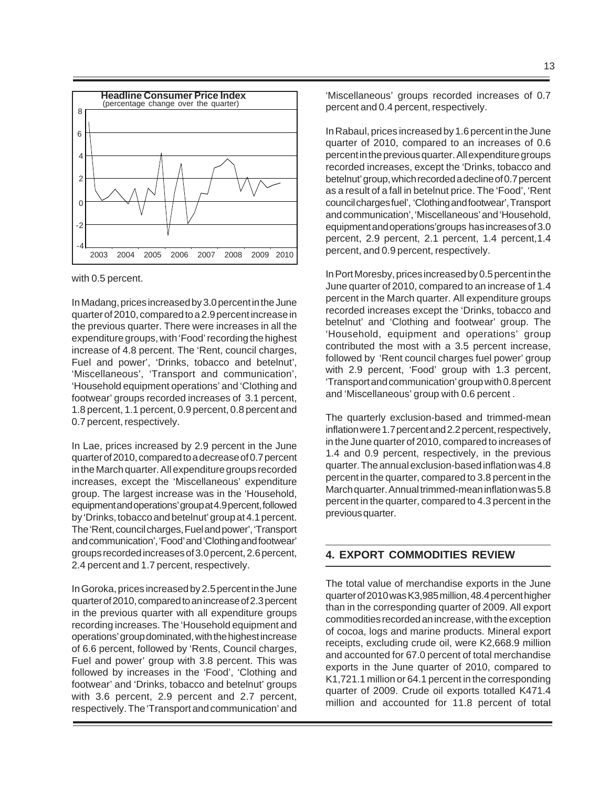

with 0.5 percent.

In Madang, prices increased by 3.0 percent in the June quarter of 2010, compared to a 2.9 percent increase in the previous quarter. There were increases in all the expenditure groups, with 'Food' recording the highest increase of 4.8 percent. The 'Rent, council charges, Fuel and power', 'Drinks, tobacco and betelnut', 'Miscellaneous', 'Transport and communication', 'Household equipment operations' and 'Clothing and footwear' groups recorded increases of 3.1 percent, 1.8 percent, 1.1 percent, 0.9 percent, 0.8 percent and 0.7 percent, respectively.

In Lae, prices increased by 2.9 percent in the June quarter of 2010, compared to a decrease of 0.7 percent in the March quarter. All expenditure groups recorded increases, except the 'Miscellaneous' expenditure group. The largest increase was in the 'Household, equipment and operations' group at 4.9 percent, followed by 'Drinks, tobacco and betelnut' group at 4.1 percent. The 'Rent, council charges, Fuel and power', 'Transport and communication', 'Food' and 'Clothing and footwear' groups recorded increases of 3.0 percent, 2.6 percent, 2.4 percent and 1.7 percent, respectively.

In Goroka, prices increased by 2.5 percent in the June quarter of 2010, compared to an increase of 2.3 percent in the previous quarter with all expenditure groups recording increases. The 'Household equipment and operations' group dominated, with the highest increase of 6.6 percent, followed by 'Rents, Council charges, Fuel and power' group with 3.8 percent. This was followed by increases in the 'Food', 'Clothing and footwear' and 'Drinks, tobacco and betelnut' groups with 3.6 percent, 2.9 percent and 2.7 percent, respectively. The 'Transport and communication' and

'Miscellaneous' groups recorded increases of 0.7 percent and 0.4 percent, respectively.

In Rabaul, prices increased by 1.6 percent in the June quarter of 2010, compared to an increases of 0.6 percent in the previous quarter. All expenditure groups recorded increases, except the 'Drinks, tobacco and betelnut' group, which recorded a decline of 0.7 percent as a result of a fall in betelnut price. The 'Food', 'Rent council charges fuel', 'Clothing and footwear', Transport and communication', 'Miscellaneous' and 'Household, equipment and operations'groups has increases of 3.0 percent, 2.9 percent, 2.1 percent, 1.4 percent,1.4 percent, and 0.9 percent, respectively.

In Port Moresby, prices increased by 0.5 percent in the June quarter of 2010, compared to an increase of 1.4 percent in the March quarter. All expenditure groups recorded increases except the 'Drinks, tobacco and betelnut' and 'Clothing and footwear' group. The 'Household, equipment and operations' group contributed the most with a 3.5 percent increase, followed by 'Rent council charges fuel power' group with 2.9 percent, 'Food' group with 1.3 percent, 'Transport and communication' group with 0.8 percent and 'Miscellaneous' group with 0.6 percent .

The quarterly exclusion-based and trimmed-mean inflation were 1.7 percent and 2.2 percent, respectively, in the June quarter of 2010, compared to increases of 1.4 and 0.9 percent, respectively, in the previous quarter. The annual exclusion-based inflation was 4.8 percent in the quarter, compared to 3.8 percent in the March quarter. Annual trimmed-mean inflation was 5.8 percent in the quarter, compared to 4.3 percent in the previous quarter.

# **4. EXPORT COMMODITIES REVIEW**

The total value of merchandise exports in the June quarter of 2010 was K3,985 million, 48.4 percent higher than in the corresponding quarter of 2009. All export commodities recorded an increase, with the exception of cocoa, logs and marine products. Mineral export receipts, excluding crude oil, were K2,668.9 million and accounted for 67.0 percent of total merchandise exports in the June quarter of 2010, compared to K1,721.1 million or 64.1 percent in the corresponding quarter of 2009. Crude oil exports totalled K471.4 million and accounted for 11.8 percent of total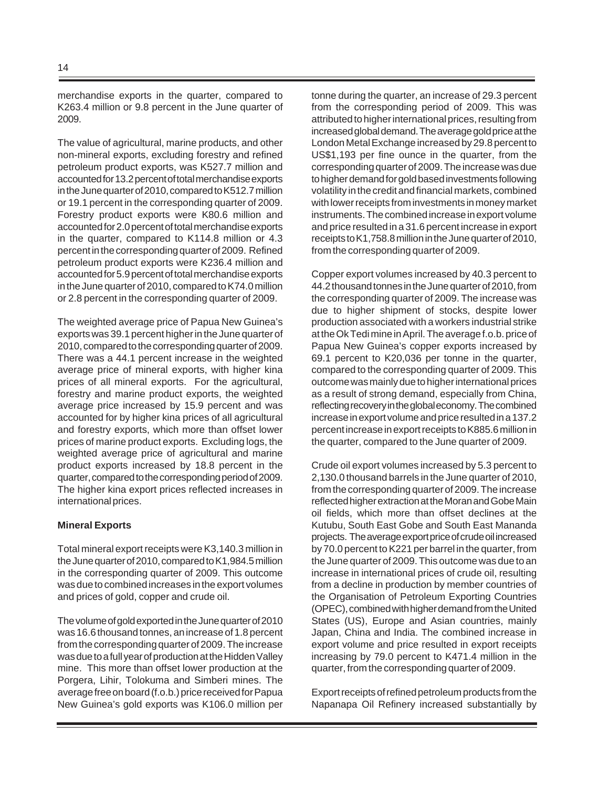merchandise exports in the quarter, compared to K263.4 million or 9.8 percent in the June quarter of 2009.

The value of agricultural, marine products, and other non-mineral exports, excluding forestry and refined petroleum product exports, was K527.7 million and accounted for 13.2 percent of total merchandise exports in the June quarter of 2010, compared to K512.7 million or 19.1 percent in the corresponding quarter of 2009. Forestry product exports were K80.6 million and accounted for 2.0 percent of total merchandise exports in the quarter, compared to K114.8 million or 4.3 percent in the corresponding quarter of 2009. Refined petroleum product exports were K236.4 million and accounted for 5.9 percent of total merchandise exports in the June quarter of 2010, compared to K74.0 million or 2.8 percent in the corresponding quarter of 2009.

The weighted average price of Papua New Guinea's exports was 39.1 percent higher in the June quarter of 2010, compared to the corresponding quarter of 2009. There was a 44.1 percent increase in the weighted average price of mineral exports, with higher kina prices of all mineral exports. For the agricultural, forestry and marine product exports, the weighted average price increased by 15.9 percent and was accounted for by higher kina prices of all agricultural and forestry exports, which more than offset lower prices of marine product exports. Excluding logs, the weighted average price of agricultural and marine product exports increased by 18.8 percent in the quarter, compared to the corresponding period of 2009. The higher kina export prices reflected increases in international prices.

#### **Mineral Exports**

Total mineral export receipts were K3,140.3 million in the June quarter of 2010, compared to K1,984.5 million in the corresponding quarter of 2009. This outcome was due to combined increases in the export volumes and prices of gold, copper and crude oil.

The volume of gold exported in the June quarter of 2010 was 16.6 thousand tonnes, an increase of 1.8 percent from the corresponding quarter of 2009. The increase was due to a full year of production at the Hidden Valley mine. This more than offset lower production at the Porgera, Lihir, Tolokuma and Simberi mines. The average free on board (f.o.b.) price received for Papua New Guinea's gold exports was K106.0 million per tonne during the quarter, an increase of 29.3 percent from the corresponding period of 2009. This was attributed to higher international prices, resulting from increased global demand. The average gold price at the London Metal Exchange increased by 29.8 percent to US\$1,193 per fine ounce in the quarter, from the corresponding quarter of 2009. The increase was due to higher demand for gold based investments following volatility in the credit and financial markets, combined with lower receipts from investments in money market instruments. The combined increase in export volume and price resulted in a 31.6 percent increase in export receipts to K1,758.8 million in the June quarter of 2010, from the corresponding quarter of 2009.

Copper export volumes increased by 40.3 percent to 44.2 thousand tonnes in the June quarter of 2010, from the corresponding quarter of 2009. The increase was due to higher shipment of stocks, despite lower production associated with a workers industrial strike at the Ok Tedi mine in April. The average f.o.b. price of Papua New Guinea's copper exports increased by 69.1 percent to K20,036 per tonne in the quarter, compared to the corresponding quarter of 2009. This outcome was mainly due to higher international prices as a result of strong demand, especially from China, reflecting recovery in the global economy. The combined increase in export volume and price resulted in a 137.2 percent increase in export receipts to K885.6 million in the quarter, compared to the June quarter of 2009.

Crude oil export volumes increased by 5.3 percent to 2,130.0 thousand barrels in the June quarter of 2010, from the corresponding quarter of 2009. The increase reflected higher extraction at the Moran and Gobe Main oil fields, which more than offset declines at the Kutubu, South East Gobe and South East Mananda projects. The average export price of crude oil increased by 70.0 percent to K221 per barrel in the quarter, from the June quarter of 2009. This outcome was due to an increase in international prices of crude oil, resulting from a decline in production by member countries of the Organisation of Petroleum Exporting Countries (OPEC), combined with higher demand from the United States (US), Europe and Asian countries, mainly Japan, China and India. The combined increase in export volume and price resulted in export receipts increasing by 79.0 percent to K471.4 million in the quarter, from the corresponding quarter of 2009.

Export receipts of refined petroleum products from the Napanapa Oil Refinery increased substantially by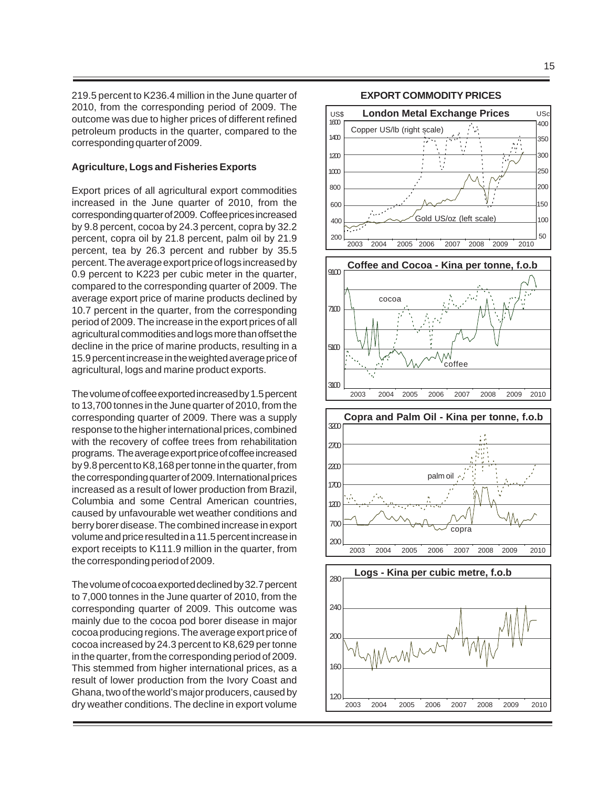219.5 percent to K236.4 million in the June quarter of 2010, from the corresponding period of 2009. The outcome was due to higher prices of different refined petroleum products in the quarter, compared to the corresponding quarter of 2009.

#### **Agriculture, Logs and Fisheries Exports**

Export prices of all agricultural export commodities increased in the June quarter of 2010, from the corresponding quarter of 2009. Coffee prices increased by 9.8 percent, cocoa by 24.3 percent, copra by 32.2 percent, copra oil by 21.8 percent, palm oil by 21.9 percent, tea by 26.3 percent and rubber by 35.5 percent. The average export price of logs increased by 0.9 percent to K223 per cubic meter in the quarter, compared to the corresponding quarter of 2009. The average export price of marine products declined by 10.7 percent in the quarter, from the corresponding period of 2009. The increase in the export prices of all agricultural commodities and logs more than offset the decline in the price of marine products, resulting in a 15.9 percent increase in the weighted average price of agricultural, logs and marine product exports.

The volume of coffee exported increased by 1.5 percent to 13,700 tonnes in the June quarter of 2010, from the corresponding quarter of 2009. There was a supply response to the higher international prices, combined with the recovery of coffee trees from rehabilitation programs. The average export price of coffee increased by 9.8 percent to K8,168 per tonne in the quarter, from the corresponding quarter of 2009. International prices increased as a result of lower production from Brazil, Columbia and some Central American countries, caused by unfavourable wet weather conditions and berry borer disease. The combined increase in export volume and price resulted in a 11.5 percent increase in export receipts to K111.9 million in the quarter, from the corresponding period of 2009.

The volume of cocoa exported declined by 32.7 percent to 7,000 tonnes in the June quarter of 2010, from the corresponding quarter of 2009. This outcome was mainly due to the cocoa pod borer disease in major cocoa producing regions. The average export price of cocoa increased by 24.3 percent to K8,629 per tonne in the quarter, from the corresponding period of 2009. This stemmed from higher international prices, as a result of lower production from the Ivory Coast and Ghana, two of the world's major producers, caused by dry weather conditions. The decline in export volume



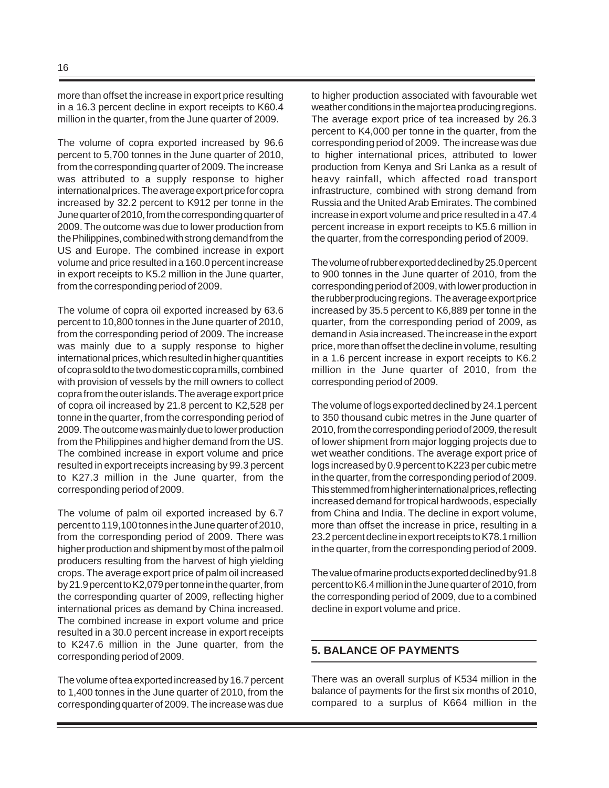more than offset the increase in export price resulting in a 16.3 percent decline in export receipts to K60.4 million in the quarter, from the June quarter of 2009.

The volume of copra exported increased by 96.6 percent to 5,700 tonnes in the June quarter of 2010, from the corresponding quarter of 2009. The increase was attributed to a supply response to higher international prices. The average export price for copra increased by 32.2 percent to K912 per tonne in the June quarter of 2010, from the corresponding quarter of 2009. The outcome was due to lower production from the Philippines, combined with strong demand from the US and Europe. The combined increase in export volume and price resulted in a 160.0 percent increase in export receipts to K5.2 million in the June quarter, from the corresponding period of 2009.

The volume of copra oil exported increased by 63.6 percent to 10,800 tonnes in the June quarter of 2010, from the corresponding period of 2009. The increase was mainly due to a supply response to higher international prices, which resulted in higher quantities of copra sold to the two domestic copra mills, combined with provision of vessels by the mill owners to collect copra from the outer islands. The average export price of copra oil increased by 21.8 percent to K2,528 per tonne in the quarter, from the corresponding period of 2009. The outcome was mainly due to lower production from the Philippines and higher demand from the US. The combined increase in export volume and price resulted in export receipts increasing by 99.3 percent to K27.3 million in the June quarter, from the corresponding period of 2009.

The volume of palm oil exported increased by 6.7 percent to 119,100 tonnes in the June quarter of 2010, from the corresponding period of 2009. There was higher production and shipment by most of the palm oil producers resulting from the harvest of high yielding crops. The average export price of palm oil increased by 21.9 percent to K2,079 per tonne in the quarter, from the corresponding quarter of 2009, reflecting higher international prices as demand by China increased. The combined increase in export volume and price resulted in a 30.0 percent increase in export receipts to K247.6 million in the June quarter, from the corresponding period of 2009.

The volume of tea exported increased by 16.7 percent to 1,400 tonnes in the June quarter of 2010, from the corresponding quarter of 2009. The increase was due

to higher production associated with favourable wet weather conditions in the major tea producing regions. The average export price of tea increased by 26.3 percent to K4,000 per tonne in the quarter, from the corresponding period of 2009. The increase was due to higher international prices, attributed to lower production from Kenya and Sri Lanka as a result of heavy rainfall, which affected road transport infrastructure, combined with strong demand from Russia and the United Arab Emirates. The combined increase in export volume and price resulted in a 47.4 percent increase in export receipts to K5.6 million in the quarter, from the corresponding period of 2009.

The volume of rubber exported declined by 25.0 percent to 900 tonnes in the June quarter of 2010, from the corresponding period of 2009, with lower production in the rubber producing regions. The average export price increased by 35.5 percent to K6,889 per tonne in the quarter, from the corresponding period of 2009, as demand in Asia increased. The increase in the export price, more than offset the decline in volume, resulting in a 1.6 percent increase in export receipts to K6.2 million in the June quarter of 2010, from the corresponding period of 2009.

The volume of logs exported declined by 24.1 percent to 350 thousand cubic metres in the June quarter of 2010, from the corresponding period of 2009, the result of lower shipment from major logging projects due to wet weather conditions. The average export price of logs increased by 0.9 percent to K223 per cubic metre in the quarter, from the corresponding period of 2009. This stemmed from higher international prices, reflecting increased demand for tropical hardwoods, especially from China and India. The decline in export volume, more than offset the increase in price, resulting in a 23.2 percent decline in export receipts to K78.1 million in the quarter, from the corresponding period of 2009.

The value of marine products exported declined by 91.8 percent to K6.4 million in the June quarter of 2010, from the corresponding period of 2009, due to a combined decline in export volume and price.

# **5. BALANCE OF PAYMENTS**

There was an overall surplus of K534 million in the balance of payments for the first six months of 2010, compared to a surplus of K664 million in the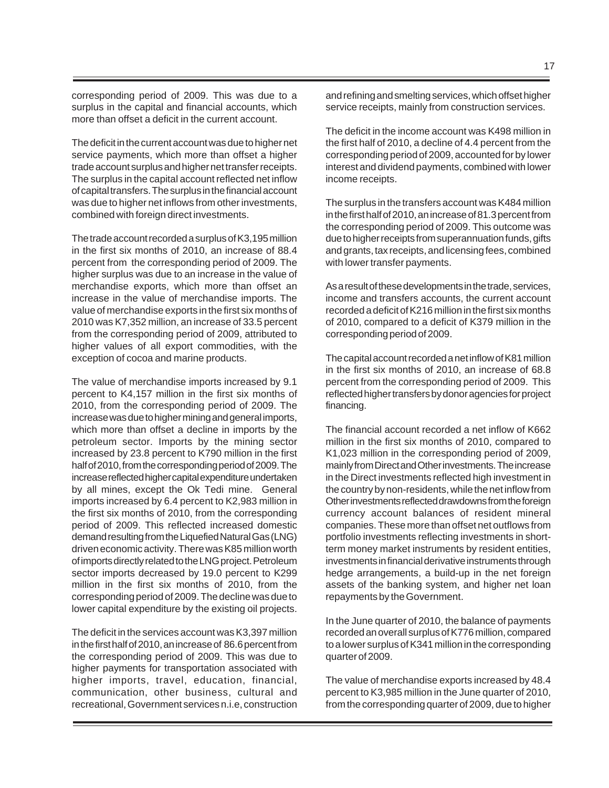corresponding period of 2009. This was due to a surplus in the capital and financial accounts, which more than offset a deficit in the current account.

The deficit in the current account was due to higher net service payments, which more than offset a higher trade account surplus and higher net transfer receipts. The surplus in the capital account reflected net inflow of capital transfers. The surplus in the financial account was due to higher net inflows from other investments, combined with foreign direct investments.

The trade account recorded a surplus of K3,195 million in the first six months of 2010, an increase of 88.4 percent from the corresponding period of 2009. The higher surplus was due to an increase in the value of merchandise exports, which more than offset an increase in the value of merchandise imports. The value of merchandise exports in the first six months of 2010 was K7,352 million, an increase of 33.5 percent from the corresponding period of 2009, attributed to higher values of all export commodities, with the exception of cocoa and marine products.

The value of merchandise imports increased by 9.1 percent to K4,157 million in the first six months of 2010, from the corresponding period of 2009. The increase was due to higher mining and general imports, which more than offset a decline in imports by the petroleum sector. Imports by the mining sector increased by 23.8 percent to K790 million in the first half of 2010, from the corresponding period of 2009. The increase reflected higher capital expenditure undertaken by all mines, except the Ok Tedi mine. General imports increased by 6.4 percent to K2,983 million in the first six months of 2010, from the corresponding period of 2009. This reflected increased domestic demand resulting from the Liquefied Natural Gas (LNG) driven economic activity. There was K85 million worth of imports directly related to the LNG project. Petroleum sector imports decreased by 19.0 percent to K299 million in the first six months of 2010, from the corresponding period of 2009. The decline was due to lower capital expenditure by the existing oil projects.

The deficit in the services account was K3,397 million in the first half of 2010, an increase of 86.6 percent from the corresponding period of 2009. This was due to higher payments for transportation associated with higher imports, travel, education, financial, communication, other business, cultural and recreational, Government services n.i.e, construction

and refining and smelting services, which offset higher service receipts, mainly from construction services.

The deficit in the income account was K498 million in the first half of 2010, a decline of 4.4 percent from the corresponding period of 2009, accounted for by lower interest and dividend payments, combined with lower income receipts.

The surplus in the transfers account was K484 million in the first half of 2010, an increase of 81.3 percent from the corresponding period of 2009. This outcome was due to higher receipts from superannuation funds, gifts and grants, tax receipts, and licensing fees, combined with lower transfer payments.

As a result of these developments in the trade, services, income and transfers accounts, the current account recorded a deficit of K216 million in the first six months of 2010, compared to a deficit of K379 million in the corresponding period of 2009.

The capital account recorded a net inflow of K81 million in the first six months of 2010, an increase of 68.8 percent from the corresponding period of 2009. This reflected higher transfers by donor agencies for project financing.

The financial account recorded a net inflow of K662 million in the first six months of 2010, compared to K1,023 million in the corresponding period of 2009, mainly from Direct and Other investments. The increase in the Direct investments reflected high investment in the country by non-residents, while the net inflow from Other investments reflected drawdowns from the foreign currency account balances of resident mineral companies. These more than offset net outflows from portfolio investments reflecting investments in shortterm money market instruments by resident entities, investments in financial derivative instruments through hedge arrangements, a build-up in the net foreign assets of the banking system, and higher net loan repayments by the Government.

In the June quarter of 2010, the balance of payments recorded an overall surplus of K776 million, compared to a lower surplus of K341 million in the corresponding quarter of 2009.

The value of merchandise exports increased by 48.4 percent to K3,985 million in the June quarter of 2010, from the corresponding quarter of 2009, due to higher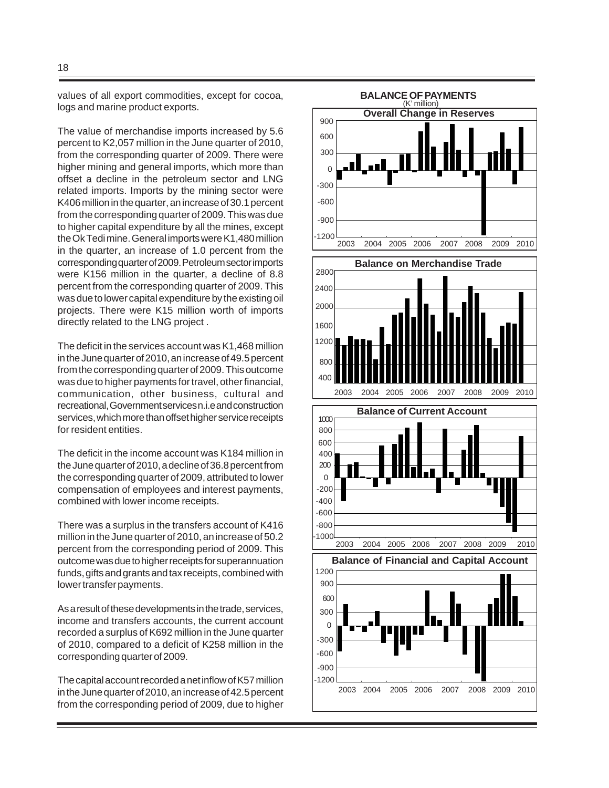values of all export commodities, except for cocoa, logs and marine product exports.

The value of merchandise imports increased by 5.6 percent to K2,057 million in the June quarter of 2010, from the corresponding quarter of 2009. There were higher mining and general imports, which more than offset a decline in the petroleum sector and LNG related imports. Imports by the mining sector were K406 million in the quarter, an increase of 30.1 percent from the corresponding quarter of 2009. This was due to higher capital expenditure by all the mines, except the Ok Tedi mine. General imports were K1,480 million in the quarter, an increase of 1.0 percent from the corresponding quarter of 2009. Petroleum sector imports were K156 million in the quarter, a decline of 8.8 percent from the corresponding quarter of 2009. This was due to lower capital expenditure by the existing oil projects. There were K15 million worth of imports directly related to the LNG project .

The deficit in the services account was K1,468 million in the June quarter of 2010, an increase of 49.5 percent from the corresponding quarter of 2009. This outcome was due to higher payments for travel, other financial, communication, other business, cultural and recreational, Government services n.i.e and construction services, which more than offset higher service receipts for resident entities.

The deficit in the income account was K184 million in the June quarter of 2010, a decline of 36.8 percent from the corresponding quarter of 2009, attributed to lower compensation of employees and interest payments, combined with lower income receipts.

There was a surplus in the transfers account of K416 million in the June quarter of 2010, an increase of 50.2 percent from the corresponding period of 2009. This outcome was due to higher receipts for superannuation funds, gifts and grants and tax receipts, combined with lower transfer payments.

As a result of these developments in the trade, services, income and transfers accounts, the current account recorded a surplus of K692 million in the June quarter of 2010, compared to a deficit of K258 million in the corresponding quarter of 2009.

The capital account recorded a net inflow of K57 million in the June quarter of 2010, an increase of 42.5 percent from the corresponding period of 2009, due to higher

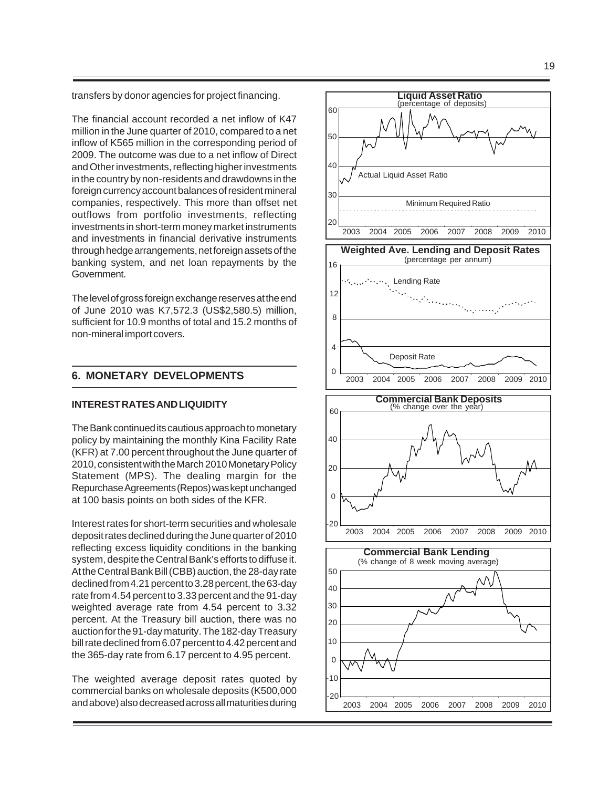transfers by donor agencies for project financing.

The financial account recorded a net inflow of K47 million in the June quarter of 2010, compared to a net inflow of K565 million in the corresponding period of 2009. The outcome was due to a net inflow of Direct and Other investments, reflecting higher investments in the country by non-residents and drawdowns in the foreign currency account balances of resident mineral companies, respectively. This more than offset net outflows from portfolio investments, reflecting investments in short-term money market instruments and investments in financial derivative instruments through hedge arrangements, net foreign assets of the banking system, and net loan repayments by the Government.

The level of gross foreign exchange reserves at the end of June 2010 was K7,572.3 (US\$2,580.5) million, sufficient for 10.9 months of total and 15.2 months of non-mineral import covers.

#### **6. MONETARY DEVELOPMENTS**

#### **INTEREST RATES AND LIQUIDITY**

The Bank continued its cautious approach to monetary policy by maintaining the monthly Kina Facility Rate (KFR) at 7.00 percent throughout the June quarter of 2010, consistent with the March 2010 Monetary Policy Statement (MPS). The dealing margin for the Repurchase Agreements (Repos) was kept unchanged at 100 basis points on both sides of the KFR.

Interest rates for short-term securities and wholesale deposit rates declined during the June quarter of 2010 reflecting excess liquidity conditions in the banking system, despite the Central Bank's efforts to diffuse it. At the Central Bank Bill (CBB) auction, the 28-day rate declined from 4.21 percent to 3.28 percent, the 63-day rate from 4.54 percent to 3.33 percent and the 91-day weighted average rate from 4.54 percent to 3.32 percent. At the Treasury bill auction, there was no auction for the 91-day maturity. The 182-day Treasury bill rate declined from 6.07 percent to 4.42 percent and the 365-day rate from 6.17 percent to 4.95 percent.

The weighted average deposit rates quoted by commercial banks on wholesale deposits (K500,000 and above) also decreased across all maturities during

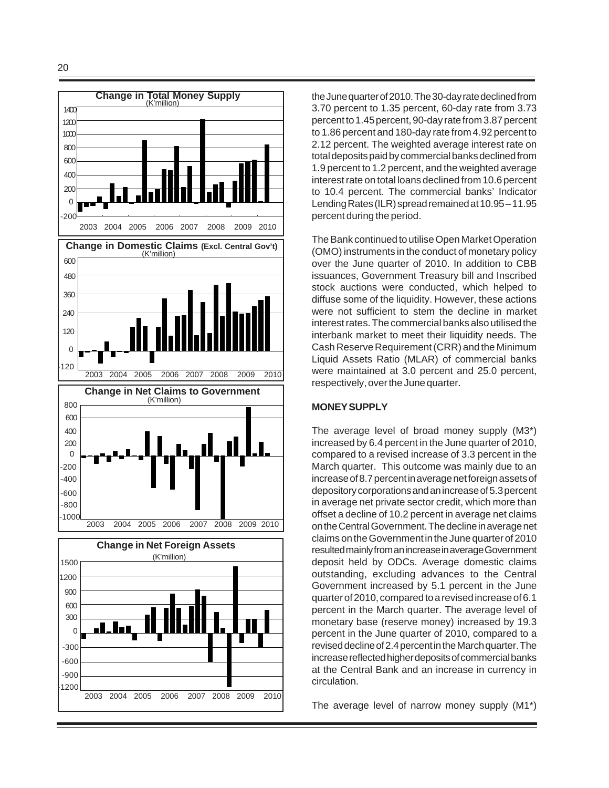

the June quarter of 2010. The 30-day rate declined from 3.70 percent to 1.35 percent, 60-day rate from 3.73 percent to 1.45 percent, 90-day rate from 3.87 percent to 1.86 percent and 180-day rate from 4.92 percent to 2.12 percent. The weighted average interest rate on total deposits paid by commercial banks declined from 1.9 percent to 1.2 percent, and the weighted average interest rate on total loans declined from 10.6 percent to 10.4 percent. The commercial banks' Indicator Lending Rates (ILR) spread remained at 10.95 – 11.95 percent during the period.

The Bank continued to utilise Open Market Operation (OMO) instruments in the conduct of monetary policy over the June quarter of 2010. In addition to CBB issuances, Government Treasury bill and Inscribed stock auctions were conducted, which helped to diffuse some of the liquidity. However, these actions were not sufficient to stem the decline in market interest rates. The commercial banks also utilised the interbank market to meet their liquidity needs. The Cash Reserve Requirement (CRR) and the Minimum Liquid Assets Ratio (MLAR) of commercial banks were maintained at 3.0 percent and 25.0 percent, respectively, over the June quarter.

#### **MONEY SUPPLY**

The average level of broad money supply (M3\*) increased by 6.4 percent in the June quarter of 2010, compared to a revised increase of 3.3 percent in the March quarter. This outcome was mainly due to an increase of 8.7 percent in average net foreign assets of depository corporations and an increase of 5.3 percent in average net private sector credit, which more than offset a decline of 10.2 percent in average net claims on the Central Government. The decline in average net claims on the Government in the June quarter of 2010 resulted mainly from an increase in average Government deposit held by ODCs. Average domestic claims outstanding, excluding advances to the Central Government increased by 5.1 percent in the June quarter of 2010, compared to a revised increase of 6.1 percent in the March quarter. The average level of monetary base (reserve money) increased by 19.3 percent in the June quarter of 2010, compared to a revised decline of 2.4 percent in the March quarter. The increase reflected higher deposits of commercial banks at the Central Bank and an increase in currency in circulation.

The average level of narrow money supply (M1\*)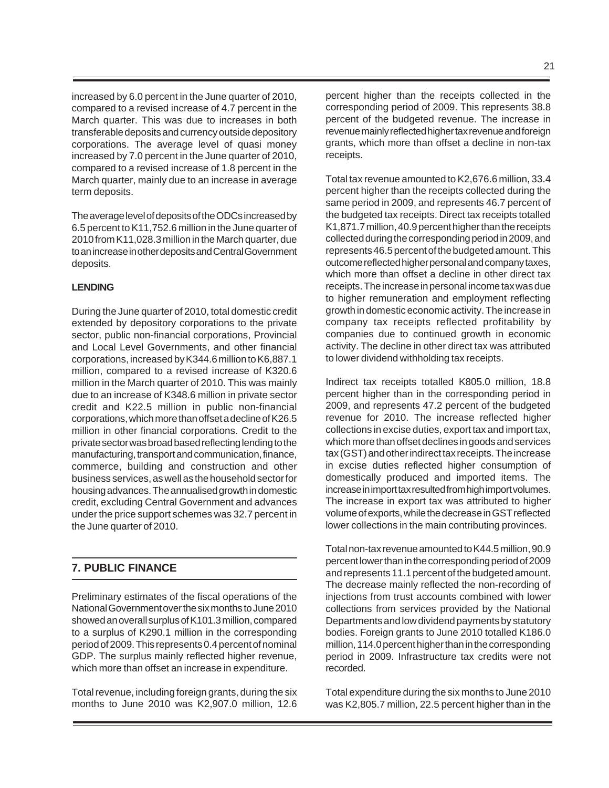increased by 6.0 percent in the June quarter of 2010, compared to a revised increase of 4.7 percent in the March quarter. This was due to increases in both transferable deposits and currency outside depository corporations. The average level of quasi money increased by 7.0 percent in the June quarter of 2010, compared to a revised increase of 1.8 percent in the March quarter, mainly due to an increase in average term deposits.

The average level of deposits of the ODCs increased by 6.5 percent to K11,752.6 million in the June quarter of 2010 from K11,028.3 million in the March quarter, due to an increase in other deposits and Central Government deposits.

# **LENDING**

During the June quarter of 2010, total domestic credit extended by depository corporations to the private sector, public non-financial corporations, Provincial and Local Level Governments, and other financial corporations, increased by K344.6 million to K6,887.1 million, compared to a revised increase of K320.6 million in the March quarter of 2010. This was mainly due to an increase of K348.6 million in private sector credit and K22.5 million in public non-financial corporations, which more than offset a decline of K26.5 million in other financial corporations. Credit to the private sector was broad based reflecting lending to the manufacturing, transport and communication, finance, commerce, building and construction and other business services, as well as the household sector for housing advances. The annualised growth in domestic credit, excluding Central Government and advances under the price support schemes was 32.7 percent in the June quarter of 2010.

# **7. PUBLIC FINANCE**

Preliminary estimates of the fiscal operations of the National Government over the six months to June 2010 showed an overall surplus of K101.3 million, compared to a surplus of K290.1 million in the corresponding period of 2009. This represents 0.4 percent of nominal GDP. The surplus mainly reflected higher revenue, which more than offset an increase in expenditure.

Total revenue, including foreign grants, during the six months to June 2010 was K2,907.0 million, 12.6 percent higher than the receipts collected in the corresponding period of 2009. This represents 38.8 percent of the budgeted revenue. The increase in revenue mainly reflected higher tax revenue and foreign grants, which more than offset a decline in non-tax receipts.

Total tax revenue amounted to K2,676.6 million, 33.4 percent higher than the receipts collected during the same period in 2009, and represents 46.7 percent of the budgeted tax receipts. Direct tax receipts totalled K1,871.7 million, 40.9 percent higher than the receipts collected during the corresponding period in 2009, and represents 46.5 percent of the budgeted amount. This outcome reflected higher personal and company taxes, which more than offset a decline in other direct tax receipts. The increase in personal income tax was due to higher remuneration and employment reflecting growth in domestic economic activity. The increase in company tax receipts reflected profitability by companies due to continued growth in economic activity. The decline in other direct tax was attributed to lower dividend withholding tax receipts.

Indirect tax receipts totalled K805.0 million, 18.8 percent higher than in the corresponding period in 2009, and represents 47.2 percent of the budgeted revenue for 2010. The increase reflected higher collections in excise duties, export tax and import tax, which more than offset declines in goods and services tax (GST) and other indirect tax receipts. The increase in excise duties reflected higher consumption of domestically produced and imported items. The increase in import tax resulted from high import volumes. The increase in export tax was attributed to higher volume of exports, while the decrease in GST reflected lower collections in the main contributing provinces.

Total non-tax revenue amounted to K44.5 million, 90.9 percent lower than in the corresponding period of 2009 and represents 11.1 percent of the budgeted amount. The decrease mainly reflected the non-recording of injections from trust accounts combined with lower collections from services provided by the National Departments and low dividend payments by statutory bodies. Foreign grants to June 2010 totalled K186.0 million, 114.0 percent higher than in the corresponding period in 2009. Infrastructure tax credits were not recorded.

Total expenditure during the six months to June 2010 was K2,805.7 million, 22.5 percent higher than in the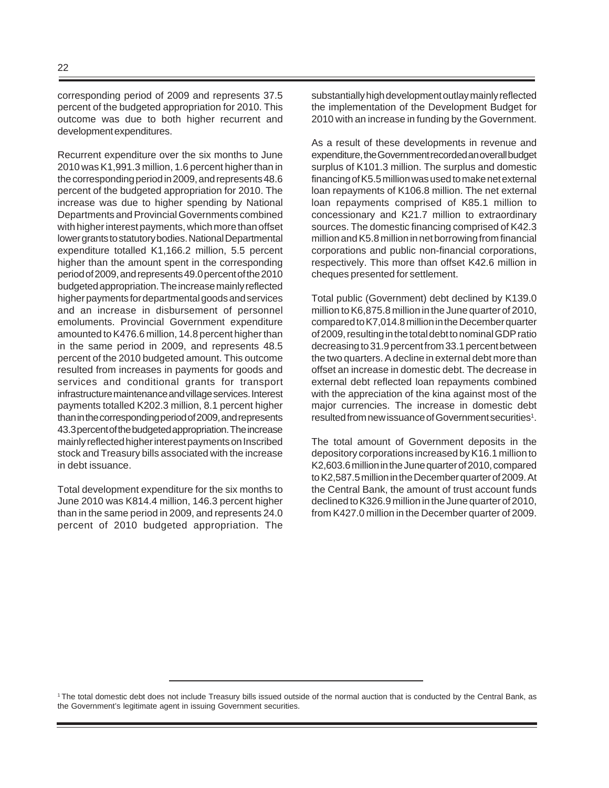corresponding period of 2009 and represents 37.5 percent of the budgeted appropriation for 2010. This outcome was due to both higher recurrent and development expenditures.

Recurrent expenditure over the six months to June 2010 was K1,991.3 million, 1.6 percent higher than in the corresponding period in 2009, and represents 48.6 percent of the budgeted appropriation for 2010. The increase was due to higher spending by National Departments and Provincial Governments combined with higher interest payments, which more than offset lower grants to statutory bodies. National Departmental expenditure totalled K1,166.2 million, 5.5 percent higher than the amount spent in the corresponding period of 2009, and represents 49.0 percent of the 2010 budgeted appropriation. The increase mainly reflected higher payments for departmental goods and services and an increase in disbursement of personnel emoluments. Provincial Government expenditure amounted to K476.6 million, 14.8 percent higher than in the same period in 2009, and represents 48.5 percent of the 2010 budgeted amount. This outcome resulted from increases in payments for goods and services and conditional grants for transport infrastructure maintenance and village services. Interest payments totalled K202.3 million, 8.1 percent higher than in the corresponding period of 2009, and represents 43.3 percent of the budgeted appropriation. The increase mainly reflected higher interest payments on Inscribed stock and Treasury bills associated with the increase in debt issuance.

Total development expenditure for the six months to June 2010 was K814.4 million, 146.3 percent higher than in the same period in 2009, and represents 24.0 percent of 2010 budgeted appropriation. The substantially high development outlay mainly reflected the implementation of the Development Budget for 2010 with an increase in funding by the Government.

As a result of these developments in revenue and expenditure, the Government recorded an overall budget surplus of K101.3 million. The surplus and domestic financing of K5.5 million was used to make net external loan repayments of K106.8 million. The net external loan repayments comprised of K85.1 million to concessionary and K21.7 million to extraordinary sources. The domestic financing comprised of K42.3 million and K5.8 million in net borrowing from financial corporations and public non-financial corporations, respectively. This more than offset K42.6 million in cheques presented for settlement.

Total public (Government) debt declined by K139.0 million to K6,875.8 million in the June quarter of 2010, compared to K7,014.8 million in the December quarter of 2009, resulting in the total debt to nominal GDP ratio decreasing to 31.9 percent from 33.1 percent between the two quarters. A decline in external debt more than offset an increase in domestic debt. The decrease in external debt reflected loan repayments combined with the appreciation of the kina against most of the major currencies. The increase in domestic debt resulted from new issuance of Government securities<sup>1</sup>.

The total amount of Government deposits in the depository corporations increased by K16.1 million to K2,603.6 million in the June quarter of 2010, compared to K2,587.5 million in the December quarter of 2009. At the Central Bank, the amount of trust account funds declined to K326.9 million in the June quarter of 2010, from K427.0 million in the December quarter of 2009.

<sup>1</sup> The total domestic debt does not include Treasury bills issued outside of the normal auction that is conducted by the Central Bank, as the Government's legitimate agent in issuing Government securities.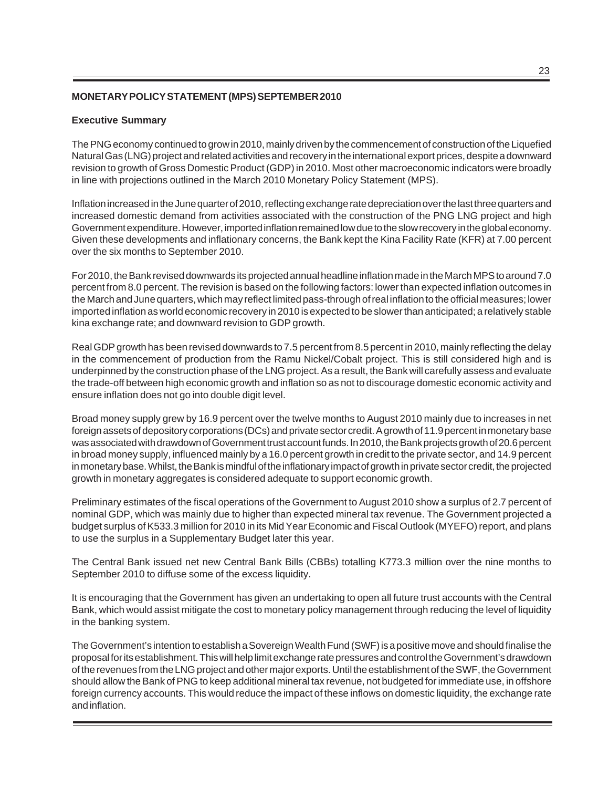# **MONETARY POLICY STATEMENT (MPS) SEPTEMBER 2010**

#### **Executive Summary**

The PNG economy continued to grow in 2010, mainly driven by the commencement of construction of the Liquefied Natural Gas (LNG) project and related activities and recovery in the international export prices, despite a downward revision to growth of Gross Domestic Product (GDP) in 2010. Most other macroeconomic indicators were broadly in line with projections outlined in the March 2010 Monetary Policy Statement (MPS).

Inflation increased in the June quarter of 2010, reflecting exchange rate depreciation over the last three quarters and increased domestic demand from activities associated with the construction of the PNG LNG project and high Government expenditure. However, imported inflation remained low due to the slow recovery in the global economy. Given these developments and inflationary concerns, the Bank kept the Kina Facility Rate (KFR) at 7.00 percent over the six months to September 2010.

For 2010, the Bank revised downwards its projected annual headline inflation made in the March MPS to around 7.0 percent from 8.0 percent. The revision is based on the following factors: lower than expected inflation outcomes in the March and June quarters, which may reflect limited pass-through of real inflation to the official measures; lower imported inflation as world economic recovery in 2010 is expected to be slower than anticipated; a relatively stable kina exchange rate; and downward revision to GDP growth.

Real GDP growth has been revised downwards to 7.5 percent from 8.5 percent in 2010, mainly reflecting the delay in the commencement of production from the Ramu Nickel/Cobalt project. This is still considered high and is underpinned by the construction phase of the LNG project. As a result, the Bank will carefully assess and evaluate the trade-off between high economic growth and inflation so as not to discourage domestic economic activity and ensure inflation does not go into double digit level.

Broad money supply grew by 16.9 percent over the twelve months to August 2010 mainly due to increases in net foreign assets of depository corporations (DCs) and private sector credit. A growth of 11.9 percent in monetary base was associated with drawdown of Government trust account funds. In 2010, the Bank projects growth of 20.6 percent in broad money supply, influenced mainly by a 16.0 percent growth in credit to the private sector, and 14.9 percent in monetary base. Whilst, the Bank is mindful of the inflationary impact of growth in private sector credit, the projected growth in monetary aggregates is considered adequate to support economic growth.

Preliminary estimates of the fiscal operations of the Government to August 2010 show a surplus of 2.7 percent of nominal GDP, which was mainly due to higher than expected mineral tax revenue. The Government projected a budget surplus of K533.3 million for 2010 in its Mid Year Economic and Fiscal Outlook (MYEFO) report, and plans to use the surplus in a Supplementary Budget later this year.

The Central Bank issued net new Central Bank Bills (CBBs) totalling K773.3 million over the nine months to September 2010 to diffuse some of the excess liquidity.

It is encouraging that the Government has given an undertaking to open all future trust accounts with the Central Bank, which would assist mitigate the cost to monetary policy management through reducing the level of liquidity in the banking system.

The Government's intention to establish a Sovereign Wealth Fund (SWF) is a positive move and should finalise the proposal for its establishment. This will help limit exchange rate pressures and control the Government's drawdown of the revenues from the LNG project and other major exports. Until the establishment of the SWF, the Government should allow the Bank of PNG to keep additional mineral tax revenue, not budgeted for immediate use, in offshore foreign currency accounts. This would reduce the impact of these inflows on domestic liquidity, the exchange rate and inflation.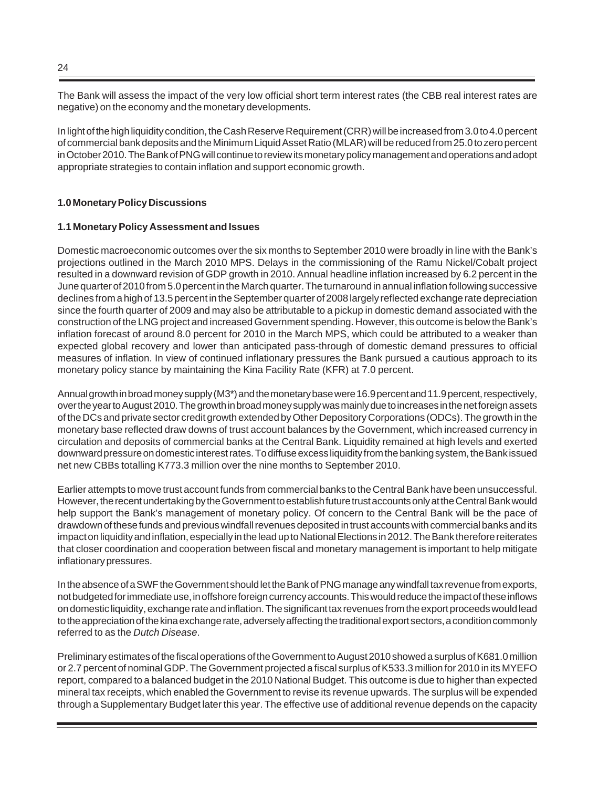The Bank will assess the impact of the very low official short term interest rates (the CBB real interest rates are negative) on the economy and the monetary developments.

In light of the high liquidity condition, the Cash Reserve Requirement (CRR) will be increased from 3.0 to 4.0 percent of commercial bank deposits and the Minimum Liquid Asset Ratio (MLAR) will be reduced from 25.0 to zero percent in October 2010. The Bank of PNG will continue to review its monetary policy management and operations and adopt appropriate strategies to contain inflation and support economic growth.

# **1.0 Monetary Policy Discussions**

#### **1.1 Monetary Policy Assessment and Issues**

Domestic macroeconomic outcomes over the six months to September 2010 were broadly in line with the Bank's projections outlined in the March 2010 MPS. Delays in the commissioning of the Ramu Nickel/Cobalt project resulted in a downward revision of GDP growth in 2010. Annual headline inflation increased by 6.2 percent in the June quarter of 2010 from 5.0 percent in the March quarter. The turnaround in annual inflation following successive declines from a high of 13.5 percent in the September quarter of 2008 largely reflected exchange rate depreciation since the fourth quarter of 2009 and may also be attributable to a pickup in domestic demand associated with the construction of the LNG project and increased Government spending. However, this outcome is below the Bank's inflation forecast of around 8.0 percent for 2010 in the March MPS, which could be attributed to a weaker than expected global recovery and lower than anticipated pass-through of domestic demand pressures to official measures of inflation. In view of continued inflationary pressures the Bank pursued a cautious approach to its monetary policy stance by maintaining the Kina Facility Rate (KFR) at 7.0 percent.

Annual growth in broad money supply (M3\*) and the monetary base were 16.9 percent and 11.9 percent, respectively, over the year to August 2010. The growth in broad money supply was mainly due to increases in the net foreign assets of the DCs and private sector credit growth extended by Other Depository Corporations (ODCs). The growth in the monetary base reflected draw downs of trust account balances by the Government, which increased currency in circulation and deposits of commercial banks at the Central Bank. Liquidity remained at high levels and exerted downward pressure on domestic interest rates. To diffuse excess liquidity from the banking system, the Bank issued net new CBBs totalling K773.3 million over the nine months to September 2010.

Earlier attempts to move trust account funds from commercial banks to the Central Bank have been unsuccessful. However, the recent undertaking by the Government to establish future trust accounts only at the Central Bank would help support the Bank's management of monetary policy. Of concern to the Central Bank will be the pace of drawdown of these funds and previous windfall revenues deposited in trust accounts with commercial banks and its impact on liquidity and inflation, especially in the lead up to National Elections in 2012. The Bank therefore reiterates that closer coordination and cooperation between fiscal and monetary management is important to help mitigate inflationary pressures.

In the absence of a SWF the Government should let the Bank of PNG manage any windfall tax revenue from exports, not budgeted for immediate use, in offshore foreign currency accounts. This would reduce the impact of these inflows on domestic liquidity, exchange rate and inflation. The significant tax revenues from the export proceeds would lead to the appreciation of the kina exchange rate, adversely affecting the traditional export sectors, a condition commonly referred to as the *Dutch Disease*.

Preliminary estimates of the fiscal operations of the Government to August 2010 showed a surplus of K681.0 million or 2.7 percent of nominal GDP. The Government projected a fiscal surplus of K533.3 million for 2010 in its MYEFO report, compared to a balanced budget in the 2010 National Budget. This outcome is due to higher than expected mineral tax receipts, which enabled the Government to revise its revenue upwards. The surplus will be expended through a Supplementary Budget later this year. The effective use of additional revenue depends on the capacity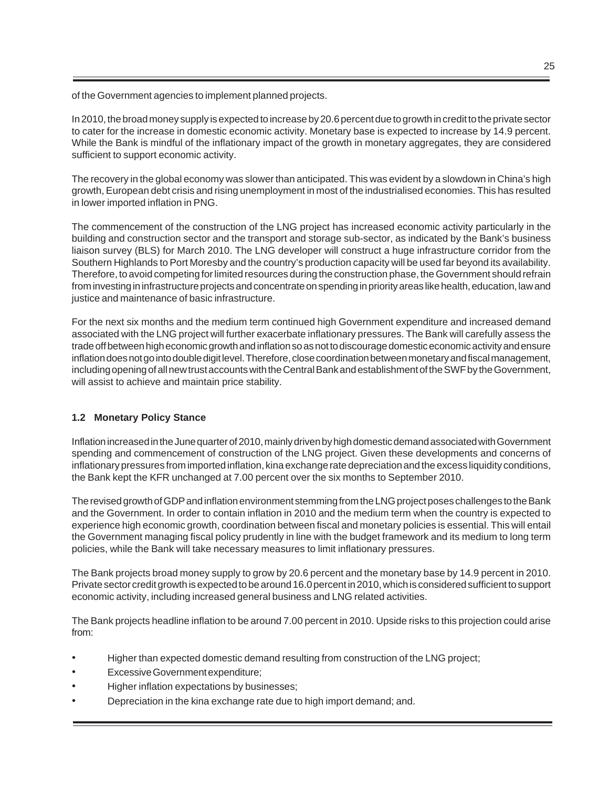of the Government agencies to implement planned projects.

In 2010, the broad money supply is expected to increase by 20.6 percent due to growth in credit to the private sector to cater for the increase in domestic economic activity. Monetary base is expected to increase by 14.9 percent. While the Bank is mindful of the inflationary impact of the growth in monetary aggregates, they are considered sufficient to support economic activity.

The recovery in the global economy was slower than anticipated. This was evident by a slowdown in China's high growth, European debt crisis and rising unemployment in most of the industrialised economies. This has resulted in lower imported inflation in PNG.

The commencement of the construction of the LNG project has increased economic activity particularly in the building and construction sector and the transport and storage sub-sector, as indicated by the Bank's business liaison survey (BLS) for March 2010. The LNG developer will construct a huge infrastructure corridor from the Southern Highlands to Port Moresby and the country's production capacity will be used far beyond its availability. Therefore, to avoid competing for limited resources during the construction phase, the Government should refrain from investing in infrastructure projects and concentrate on spending in priority areas like health, education, law and justice and maintenance of basic infrastructure.

For the next six months and the medium term continued high Government expenditure and increased demand associated with the LNG project will further exacerbate inflationary pressures. The Bank will carefully assess the trade off between high economic growth and inflation so as not to discourage domestic economic activity and ensure inflation does not go into double digit level. Therefore, close coordination between monetary and fiscal management, including opening of all new trust accounts with the Central Bank and establishment of the SWF by the Government, will assist to achieve and maintain price stability.

# **1.2 Monetary Policy Stance**

Inflation increased in the June quarter of 2010, mainly driven by high domestic demand associated with Government spending and commencement of construction of the LNG project. Given these developments and concerns of inflationary pressures from imported inflation, kina exchange rate depreciation and the excess liquidity conditions, the Bank kept the KFR unchanged at 7.00 percent over the six months to September 2010.

The revised growth of GDP and inflation environment stemming from the LNG project poses challenges to the Bank and the Government. In order to contain inflation in 2010 and the medium term when the country is expected to experience high economic growth, coordination between fiscal and monetary policies is essential. This will entail the Government managing fiscal policy prudently in line with the budget framework and its medium to long term policies, while the Bank will take necessary measures to limit inflationary pressures.

The Bank projects broad money supply to grow by 20.6 percent and the monetary base by 14.9 percent in 2010. Private sector credit growth is expected to be around 16.0 percent in 2010, which is considered sufficient to support economic activity, including increased general business and LNG related activities.

The Bank projects headline inflation to be around 7.00 percent in 2010. Upside risks to this projection could arise from:

- Higher than expected domestic demand resulting from construction of the LNG project;
- Excessive Government expenditure;
- Higher inflation expectations by businesses;
- Depreciation in the kina exchange rate due to high import demand; and.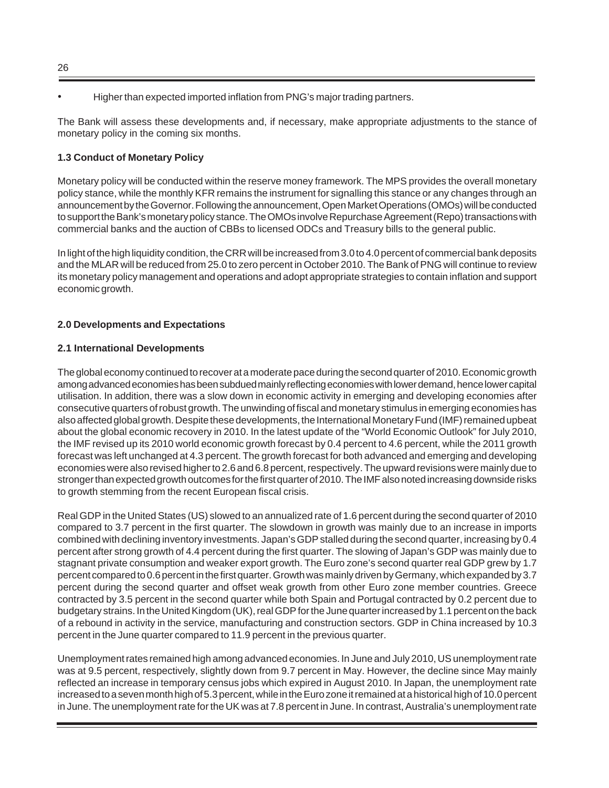• Higher than expected imported inflation from PNG's major trading partners.

The Bank will assess these developments and, if necessary, make appropriate adjustments to the stance of monetary policy in the coming six months.

# **1.3 Conduct of Monetary Policy**

Monetary policy will be conducted within the reserve money framework. The MPS provides the overall monetary policy stance, while the monthly KFR remains the instrument for signalling this stance or any changes through an announcement by the Governor. Following the announcement, Open Market Operations (OMOs) will be conducted to support the Bank's monetary policy stance. The OMOs involve Repurchase Agreement (Repo) transactions with commercial banks and the auction of CBBs to licensed ODCs and Treasury bills to the general public.

In light of the high liquidity condition, the CRR will be increased from 3.0 to 4.0 percent of commercial bank deposits and the MLAR will be reduced from 25.0 to zero percent in October 2010. The Bank of PNG will continue to review its monetary policy management and operations and adopt appropriate strategies to contain inflation and support economic growth.

# **2.0 Developments and Expectations**

# **2.1 International Developments**

The global economy continued to recover at a moderate pace during the second quarter of 2010. Economic growth among advanced economies has been subdued mainly reflecting economies with lower demand, hence lower capital utilisation. In addition, there was a slow down in economic activity in emerging and developing economies after consecutive quarters of robust growth. The unwinding of fiscal and monetary stimulus in emerging economies has also affected global growth. Despite these developments, the International Monetary Fund (IMF) remained upbeat about the global economic recovery in 2010. In the latest update of the "World Economic Outlook" for July 2010, the IMF revised up its 2010 world economic growth forecast by 0.4 percent to 4.6 percent, while the 2011 growth forecast was left unchanged at 4.3 percent. The growth forecast for both advanced and emerging and developing economies were also revised higher to 2.6 and 6.8 percent, respectively. The upward revisions were mainly due to stronger than expected growth outcomes for the first quarter of 2010. The IMF also noted increasing downside risks to growth stemming from the recent European fiscal crisis.

Real GDP in the United States (US) slowed to an annualized rate of 1.6 percent during the second quarter of 2010 compared to 3.7 percent in the first quarter. The slowdown in growth was mainly due to an increase in imports combined with declining inventory investments. Japan's GDP stalled during the second quarter, increasing by 0.4 percent after strong growth of 4.4 percent during the first quarter. The slowing of Japan's GDP was mainly due to stagnant private consumption and weaker export growth. The Euro zone's second quarter real GDP grew by 1.7 percent compared to 0.6 percent in the first quarter. Growth was mainly driven by Germany, which expanded by 3.7 percent during the second quarter and offset weak growth from other Euro zone member countries. Greece contracted by 3.5 percent in the second quarter while both Spain and Portugal contracted by 0.2 percent due to budgetary strains. In the United Kingdom (UK), real GDP for the June quarter increased by 1.1 percent on the back of a rebound in activity in the service, manufacturing and construction sectors. GDP in China increased by 10.3 percent in the June quarter compared to 11.9 percent in the previous quarter.

Unemployment rates remained high among advanced economies. In June and July 2010, US unemployment rate was at 9.5 percent, respectively, slightly down from 9.7 percent in May. However, the decline since May mainly reflected an increase in temporary census jobs which expired in August 2010. In Japan, the unemployment rate increased to a seven month high of 5.3 percent, while in the Euro zone it remained at a historical high of 10.0 percent in June. The unemployment rate for the UK was at 7.8 percent in June. In contrast, Australia's unemployment rate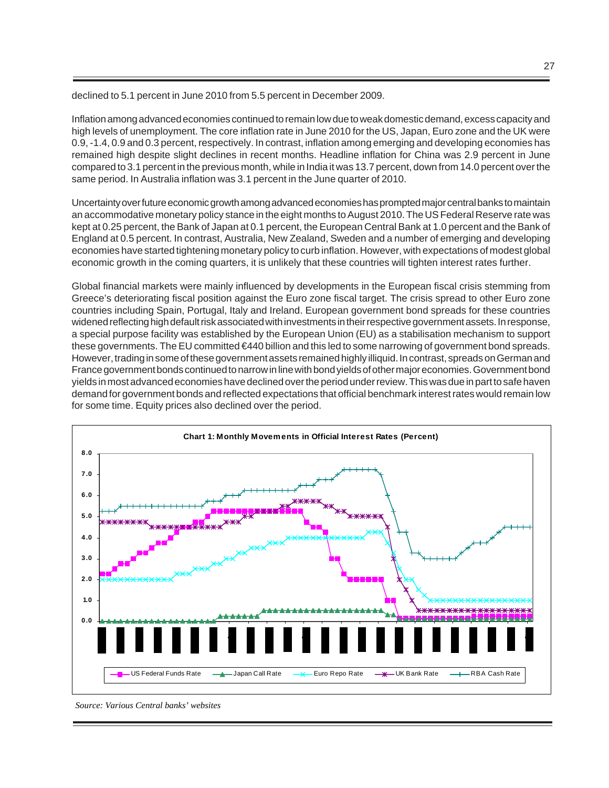declined to 5.1 percent in June 2010 from 5.5 percent in December 2009.

Inflation among advanced economies continued to remain low due to weak domestic demand, excess capacity and high levels of unemployment. The core inflation rate in June 2010 for the US, Japan, Euro zone and the UK were 0.9, -1.4, 0.9 and 0.3 percent, respectively. In contrast, inflation among emerging and developing economies has remained high despite slight declines in recent months. Headline inflation for China was 2.9 percent in June compared to 3.1 percent in the previous month, while in India it was 13.7 percent, down from 14.0 percent over the same period. In Australia inflation was 3.1 percent in the June quarter of 2010.

Uncertainty over future economic growth among advanced economies has prompted major central banks to maintain an accommodative monetary policy stance in the eight months to August 2010. The US Federal Reserve rate was kept at 0.25 percent, the Bank of Japan at 0.1 percent, the European Central Bank at 1.0 percent and the Bank of England at 0.5 percent. In contrast, Australia, New Zealand, Sweden and a number of emerging and developing economies have started tightening monetary policy to curb inflation. However, with expectations of modest global economic growth in the coming quarters, it is unlikely that these countries will tighten interest rates further.

Global financial markets were mainly influenced by developments in the European fiscal crisis stemming from Greece's deteriorating fiscal position against the Euro zone fiscal target. The crisis spread to other Euro zone countries including Spain, Portugal, Italy and Ireland. European government bond spreads for these countries widened reflecting high default risk associated with investments in their respective government assets. In response, a special purpose facility was established by the European Union (EU) as a stabilisation mechanism to support these governments. The EU committed €440 billion and this led to some narrowing of government bond spreads. However, trading in some of these government assets remained highly illiquid. In contrast, spreads on German and France government bonds continued to narrow in line with bond yields of other major economies. Government bond yields in most advanced economies have declined over the period under review. This was due in part to safe haven demand for government bonds and reflected expectations that official benchmark interest rates would remain low for some time. Equity prices also declined over the period.



*Source: Various Central banks' websites*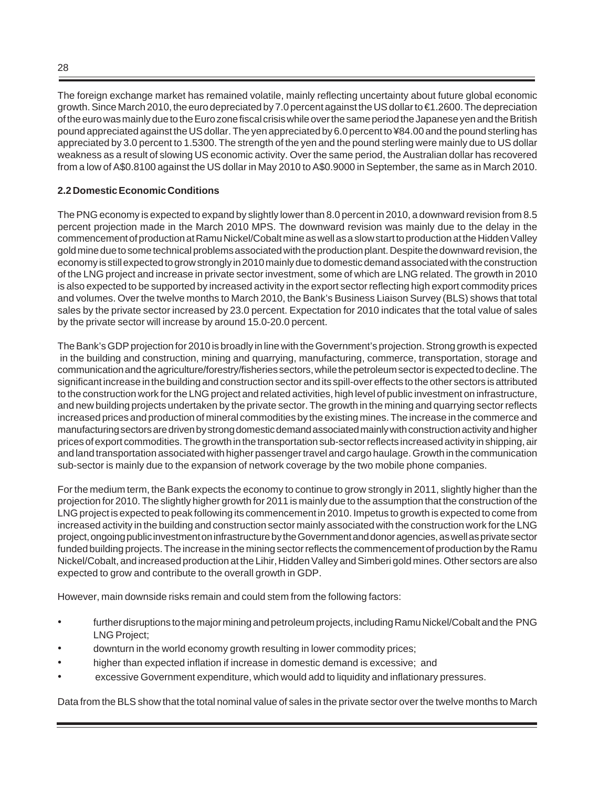The foreign exchange market has remained volatile, mainly reflecting uncertainty about future global economic growth. Since March 2010, the euro depreciated by 7.0 percent against the US dollar to €1.2600. The depreciation of the euro was mainly due to the Euro zone fiscal crisis while over the same period the Japanese yen and the British pound appreciated against the US dollar. The yen appreciated by 6.0 percent to ¥84.00 and the pound sterling has appreciated by 3.0 percent to 1.5300. The strength of the yen and the pound sterling were mainly due to US dollar weakness as a result of slowing US economic activity. Over the same period, the Australian dollar has recovered from a low of A\$0.8100 against the US dollar in May 2010 to A\$0.9000 in September, the same as in March 2010.

# **2.2 Domestic Economic Conditions**

The PNG economy is expected to expand by slightly lower than 8.0 percent in 2010, a downward revision from 8.5 percent projection made in the March 2010 MPS. The downward revision was mainly due to the delay in the commencement of production at Ramu Nickel/Cobalt mine as well as a slow start to production at the Hidden Valley gold mine due to some technical problems associated with the production plant. Despite the downward revision, the economy is still expected to grow strongly in 2010 mainly due to domestic demand associated with the construction of the LNG project and increase in private sector investment, some of which are LNG related. The growth in 2010 is also expected to be supported by increased activity in the export sector reflecting high export commodity prices and volumes. Over the twelve months to March 2010, the Bank's Business Liaison Survey (BLS) shows that total sales by the private sector increased by 23.0 percent. Expectation for 2010 indicates that the total value of sales by the private sector will increase by around 15.0-20.0 percent.

The Bank's GDP projection for 2010 is broadly in line with the Government's projection. Strong growth is expected in the building and construction, mining and quarrying, manufacturing, commerce, transportation, storage and communication and the agriculture/forestry/fisheries sectors, while the petroleum sector is expected to decline. The significant increase in the building and construction sector and its spill-over effects to the other sectors is attributed to the construction work for the LNG project and related activities, high level of public investment on infrastructure, and new building projects undertaken by the private sector. The growth in the mining and quarrying sector reflects increased prices and production of mineral commodities by the existing mines. The increase in the commerce and manufacturing sectors are driven by strong domestic demand associated mainly with construction activity and higher prices of export commodities. The growth in the transportation sub-sector reflects increased activity in shipping, air and land transportation associated with higher passenger travel and cargo haulage. Growth in the communication sub-sector is mainly due to the expansion of network coverage by the two mobile phone companies.

For the medium term, the Bank expects the economy to continue to grow strongly in 2011, slightly higher than the projection for 2010. The slightly higher growth for 2011 is mainly due to the assumption that the construction of the LNG project is expected to peak following its commencement in 2010. Impetus to growth is expected to come from increased activity in the building and construction sector mainly associated with the construction work for the LNG project, ongoing public investment on infrastructure by the Government and donor agencies, as well as private sector funded building projects. The increase in the mining sector reflects the commencement of production by the Ramu Nickel/Cobalt, and increased production at the Lihir, Hidden Valley and Simberi gold mines. Other sectors are also expected to grow and contribute to the overall growth in GDP.

However, main downside risks remain and could stem from the following factors:

- further disruptions to the major mining and petroleum projects, including Ramu Nickel/Cobalt and the PNG LNG Project;
- downturn in the world economy growth resulting in lower commodity prices;
- higher than expected inflation if increase in domestic demand is excessive; and
- excessive Government expenditure, which would add to liquidity and inflationary pressures.

Data from the BLS show that the total nominal value of sales in the private sector over the twelve months to March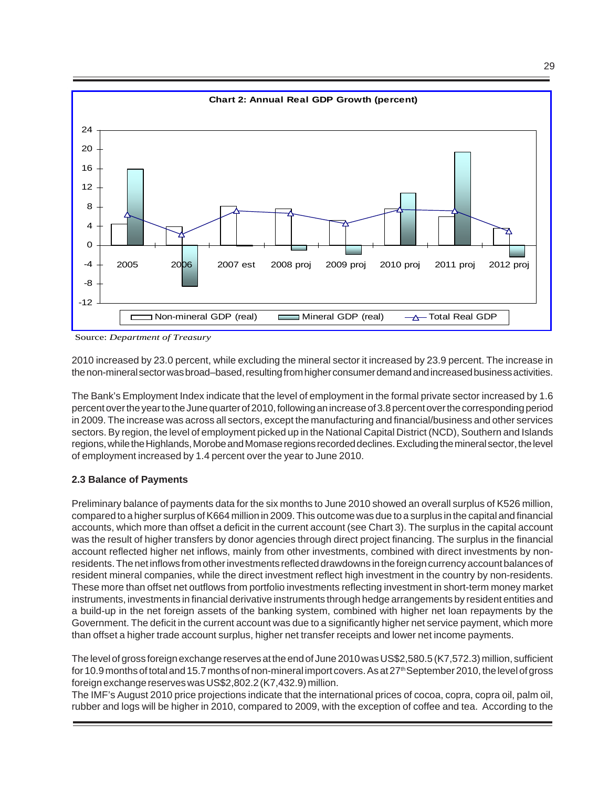

Source: *Department of Treasury*

2010 increased by 23.0 percent, while excluding the mineral sector it increased by 23.9 percent. The increase in the non-mineral sector was broad–based, resulting from higher consumer demand and increased business activities.

The Bank's Employment Index indicate that the level of employment in the formal private sector increased by 1.6 percent over the year to the June quarter of 2010, following an increase of 3.8 percent over the corresponding period in 2009. The increase was across all sectors, except the manufacturing and financial/business and other services sectors. By region, the level of employment picked up in the National Capital District (NCD), Southern and Islands regions, while the Highlands, Morobe and Momase regions recorded declines. Excluding the mineral sector, the level of employment increased by 1.4 percent over the year to June 2010.

#### **2.3 Balance of Payments**

Preliminary balance of payments data for the six months to June 2010 showed an overall surplus of K526 million, compared to a higher surplus of K664 million in 2009. This outcome was due to a surplus in the capital and financial accounts, which more than offset a deficit in the current account (see Chart 3). The surplus in the capital account was the result of higher transfers by donor agencies through direct project financing. The surplus in the financial account reflected higher net inflows, mainly from other investments, combined with direct investments by nonresidents. The net inflows from other investments reflected drawdowns in the foreign currency account balances of resident mineral companies, while the direct investment reflect high investment in the country by non-residents. These more than offset net outflows from portfolio investments reflecting investment in short-term money market instruments, investments in financial derivative instruments through hedge arrangements by resident entities and a build-up in the net foreign assets of the banking system, combined with higher net loan repayments by the Government. The deficit in the current account was due to a significantly higher net service payment, which more than offset a higher trade account surplus, higher net transfer receipts and lower net income payments.

The level of gross foreign exchange reserves at the end of June 2010 was US\$2,580.5 (K7,572.3) million, sufficient for 10.9 months of total and 15.7 months of non-mineral import covers. As at 27th September 2010, the level of gross foreign exchange reserves was US\$2,802.2 (K7,432.9) million.

The IMF's August 2010 price projections indicate that the international prices of cocoa, copra, copra oil, palm oil, rubber and logs will be higher in 2010, compared to 2009, with the exception of coffee and tea. According to the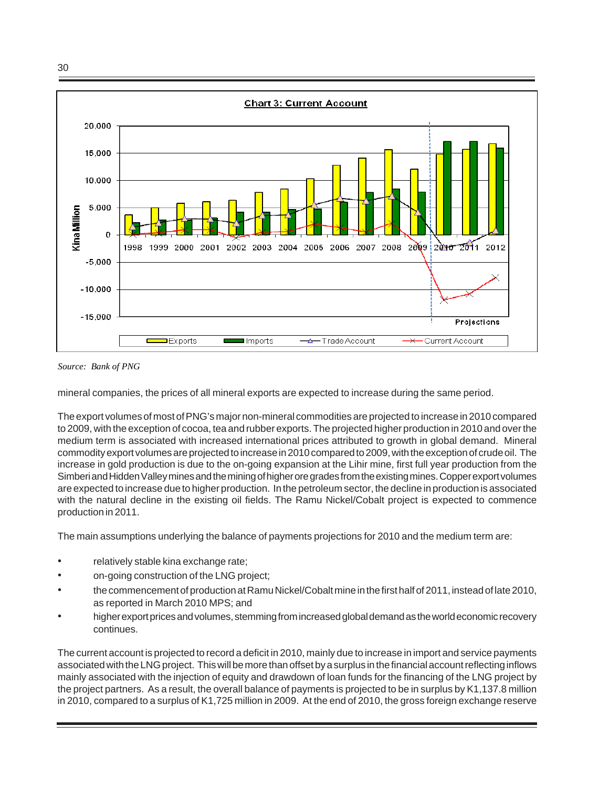30



*Source: Bank of PNG*

mineral companies, the prices of all mineral exports are expected to increase during the same period.

The export volumes of most of PNG's major non-mineral commodities are projected to increase in 2010 compared to 2009, with the exception of cocoa, tea and rubber exports. The projected higher production in 2010 and over the medium term is associated with increased international prices attributed to growth in global demand. Mineral commodity export volumes are projected to increase in 2010 compared to 2009, with the exception of crude oil. The increase in gold production is due to the on-going expansion at the Lihir mine, first full year production from the Simberi and Hidden Valley mines and the mining of higher ore grades from the existing mines. Copper export volumes are expected to increase due to higher production. In the petroleum sector, the decline in production is associated with the natural decline in the existing oil fields. The Ramu Nickel/Cobalt project is expected to commence production in 2011.

The main assumptions underlying the balance of payments projections for 2010 and the medium term are:

- relatively stable kina exchange rate;
- on-going construction of the LNG project;
- the commencement of production at Ramu Nickel/Cobalt mine in the first half of 2011, instead of late 2010, as reported in March 2010 MPS; and
- higher export prices and volumes, stemming from increased global demand as the world economic recovery continues.

The current account is projected to record a deficit in 2010, mainly due to increase in import and service payments associated with the LNG project. This will be more than offset by a surplus in the financial account reflecting inflows mainly associated with the injection of equity and drawdown of loan funds for the financing of the LNG project by the project partners. As a result, the overall balance of payments is projected to be in surplus by K1,137.8 million in 2010, compared to a surplus of K1,725 million in 2009. At the end of 2010, the gross foreign exchange reserve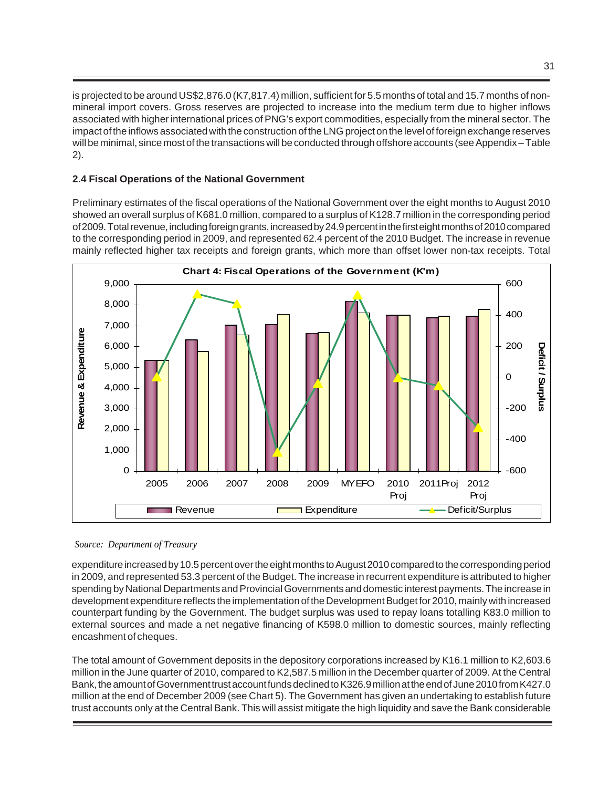is projected to be around US\$2,876.0 (K7,817.4) million, sufficient for 5.5 months of total and 15.7 months of nonmineral import covers. Gross reserves are projected to increase into the medium term due to higher inflows associated with higher international prices of PNG's export commodities, especially from the mineral sector. The impact of the inflows associated with the construction of the LNG project on the level of foreign exchange reserves will be minimal, since most of the transactions will be conducted through offshore accounts (see Appendix – Table 2).

# **2.4 Fiscal Operations of the National Government**

Preliminary estimates of the fiscal operations of the National Government over the eight months to August 2010 showed an overall surplus of K681.0 million, compared to a surplus of K128.7 million in the corresponding period of 2009. Total revenue, including foreign grants, increased by 24.9 percent in the first eight months of 2010 compared to the corresponding period in 2009, and represented 62.4 percent of the 2010 Budget. The increase in revenue mainly reflected higher tax receipts and foreign grants, which more than offset lower non-tax receipts. Total



*Source: Department of Treasury* 

expenditure increased by 10.5 percent over the eight months to August 2010 compared to the corresponding period in 2009, and represented 53.3 percent of the Budget. The increase in recurrent expenditure is attributed to higher spending by National Departments and Provincial Governments and domestic interest payments. The increase in development expenditure reflects the implementation of the Development Budget for 2010, mainly with increased counterpart funding by the Government. The budget surplus was used to repay loans totalling K83.0 million to external sources and made a net negative financing of K598.0 million to domestic sources, mainly reflecting encashment of cheques.

The total amount of Government deposits in the depository corporations increased by K16.1 million to K2,603.6 million in the June quarter of 2010, compared to K2,587.5 million in the December quarter of 2009. At the Central Bank, the amount of Government trust account funds declined to K326.9 million at the end of June 2010 from K427.0 million at the end of December 2009 (see Chart 5). The Government has given an undertaking to establish future trust accounts only at the Central Bank. This will assist mitigate the high liquidity and save the Bank considerable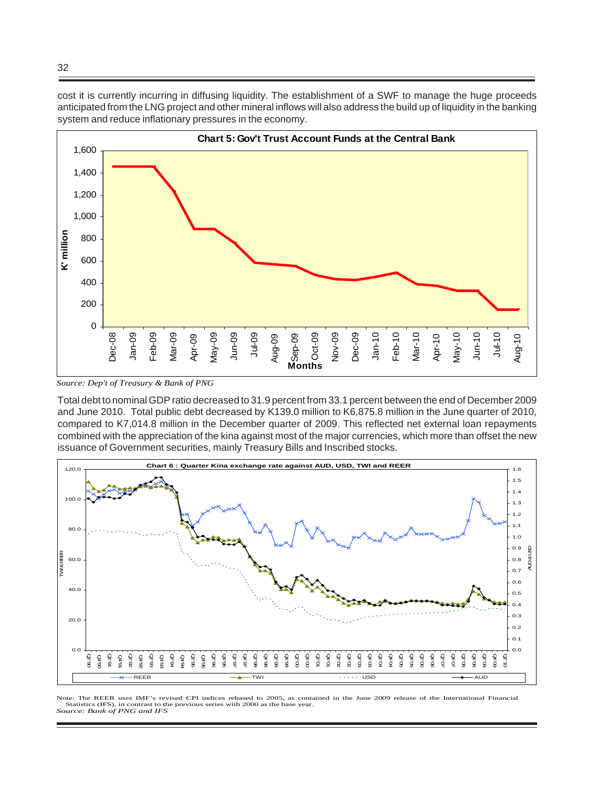cost it is currently incurring in diffusing liquidity. The establishment of a SWF to manage the huge proceeds anticipated from the LNG project and other mineral inflows will also address the build up of liquidity in the banking system and reduce inflationary pressures in the economy.



 *Source: Dep't of Treasury & Bank of PNG* 

Total debt to nominal GDP ratio decreased to 31.9 percent from 33.1 percent between the end of December 2009 and June 2010. Total public debt decreased by K139.0 million to K6,875.8 million in the June quarter of 2010, compared to K7,014.8 million in the December quarter of 2009. This reflected net external loan repayments combined with the appreciation of the kina against most of the major currencies, which more than offset the new issuance of Government securities, mainly Treasury Bills and Inscribed stocks.



Note: The REER uses IMF's revised CPI indices rebased to 2005, as contained in the June 2009 release of the International Financial Statistics (IFS), in contrast to the previous series with 2000 as the base year. Source: *Bank of PNG and IFS*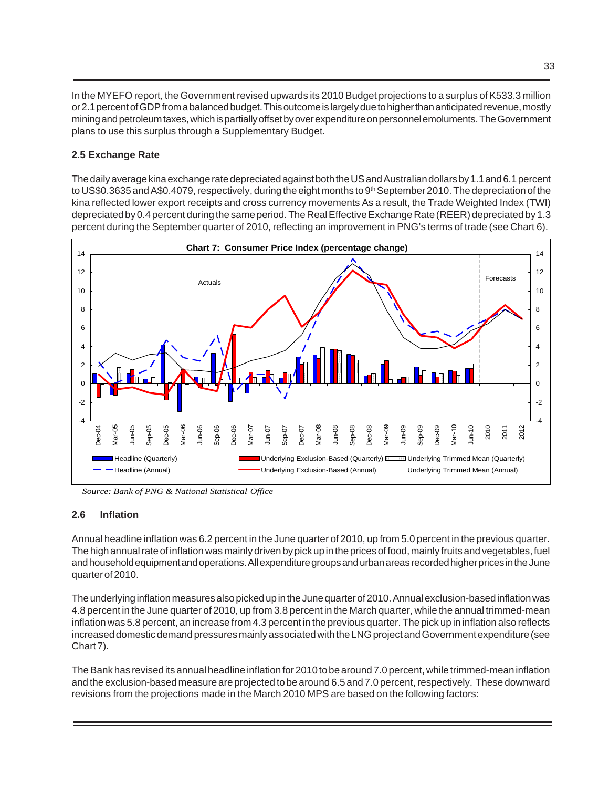In the MYEFO report, the Government revised upwards its 2010 Budget projections to a surplus of K533.3 million or 2.1 percent of GDP from a balanced budget. This outcome is largely due to higher than anticipated revenue, mostly mining and petroleum taxes, which is partially offset by over expenditure on personnel emoluments. The Government plans to use this surplus through a Supplementary Budget.

# **2.5 Exchange Rate**

The daily average kina exchange rate depreciated against both the US and Australian dollars by 1.1 and 6.1 percent to US\$0.3635 and A\$0.4079, respectively, during the eight months to 9<sup>th</sup> September 2010. The depreciation of the kina reflected lower export receipts and cross currency movements As a result, the Trade Weighted Index (TWI) depreciated by 0.4 percent during the same period. The Real Effective Exchange Rate (REER) depreciated by 1.3 percent during the September quarter of 2010, reflecting an improvement in PNG's terms of trade (see Chart 6).



 *Source: Bank of PNG & National Statistical Office*

# **2.6 Inflation**

Annual headline inflation was 6.2 percent in the June quarter of 2010, up from 5.0 percent in the previous quarter. The high annual rate of inflation was mainly driven by pick up in the prices of food, mainly fruits and vegetables, fuel and household equipment and operations. All expenditure groups and urban areas recorded higher prices in the June quarter of 2010.

The underlying inflation measures also picked up in the June quarter of 2010. Annual exclusion-based inflation was 4.8 percent in the June quarter of 2010, up from 3.8 percent in the March quarter, while the annual trimmed-mean inflation was 5.8 percent, an increase from 4.3 percent in the previous quarter. The pick up in inflation also reflects increased domestic demand pressures mainly associated with the LNG project and Government expenditure (see Chart 7).

The Bank has revised its annual headline inflation for 2010 to be around 7.0 percent, while trimmed-mean inflation and the exclusion-based measure are projected to be around 6.5 and 7.0 percent, respectively. These downward revisions from the projections made in the March 2010 MPS are based on the following factors: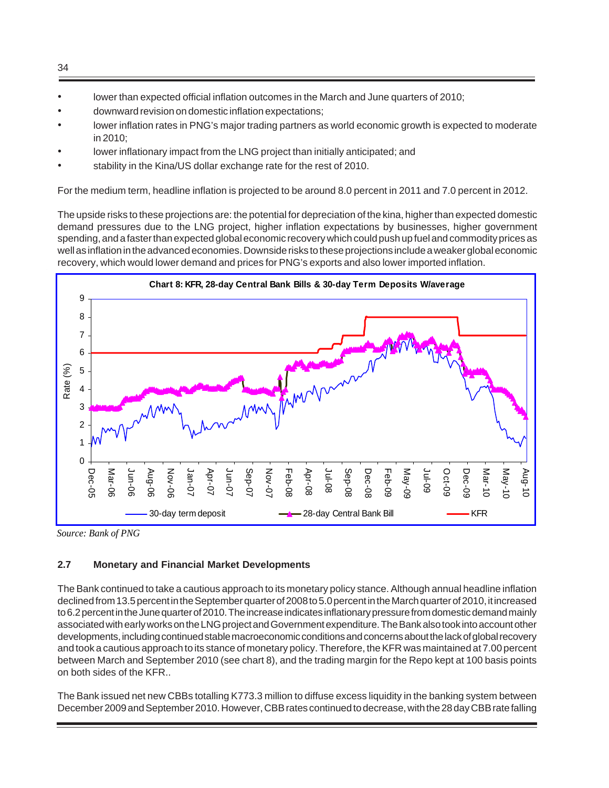- lower than expected official inflation outcomes in the March and June quarters of 2010;
- downward revision on domestic inflation expectations;
- lower inflation rates in PNG's major trading partners as world economic growth is expected to moderate in 2010;
- lower inflationary impact from the LNG project than initially anticipated; and
- stability in the Kina/US dollar exchange rate for the rest of 2010.

For the medium term, headline inflation is projected to be around 8.0 percent in 2011 and 7.0 percent in 2012.

The upside risks to these projections are: the potential for depreciation of the kina, higher than expected domestic demand pressures due to the LNG project, higher inflation expectations by businesses, higher government spending, and a faster than expected global economic recovery which could push up fuel and commodity prices as well as inflation in the advanced economies. Downside risks to these projections include a weaker global economic recovery, which would lower demand and prices for PNG's exports and also lower imported inflation.



*Source: Bank of PNG* 

# **2.7 Monetary and Financial Market Developments**

The Bank continued to take a cautious approach to its monetary policy stance. Although annual headline inflation declined from 13.5 percent in the September quarter of 2008 to 5.0 percent in the March quarter of 2010, it increased to 6.2 percent in the June quarter of 2010. The increase indicates inflationary pressure from domestic demand mainly associated with early works on the LNG project and Government expenditure. The Bank also took into account other developments, including continued stable macroeconomic conditions and concerns about the lack of global recovery and took a cautious approach to its stance of monetary policy. Therefore, the KFR was maintained at 7.00 percent between March and September 2010 (see chart 8), and the trading margin for the Repo kept at 100 basis points on both sides of the KFR..

The Bank issued net new CBBs totalling K773.3 million to diffuse excess liquidity in the banking system between December 2009 and September 2010. However, CBB rates continued to decrease, with the 28 day CBB rate falling

34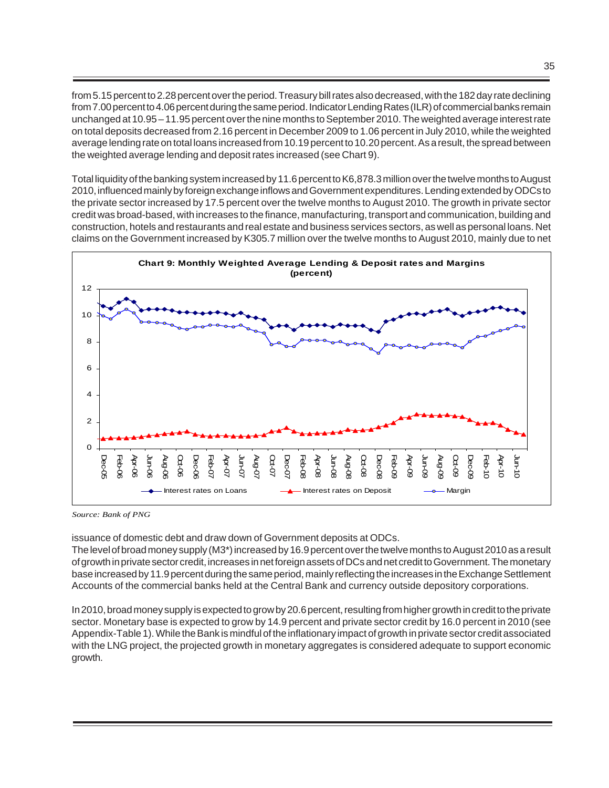from 5.15 percent to 2.28 percent over the period. Treasury bill rates also decreased, with the 182 day rate declining from 7.00 percent to 4.06 percent during the same period. Indicator Lending Rates (ILR) of commercial banks remain unchanged at 10.95 – 11.95 percent over the nine months to September 2010. The weighted average interest rate on total deposits decreased from 2.16 percent in December 2009 to 1.06 percent in July 2010, while the weighted average lending rate on total loans increased from 10.19 percent to 10.20 percent. As a result, the spread between the weighted average lending and deposit rates increased (see Chart 9).

Total liquidity of the banking system increased by 11.6 percent to K6,878.3 million over the twelve months to August 2010, influenced mainly by foreign exchange inflows and Government expenditures. Lending extended by ODCs to the private sector increased by 17.5 percent over the twelve months to August 2010. The growth in private sector credit was broad-based, with increases to the finance, manufacturing, transport and communication, building and construction, hotels and restaurants and real estate and business services sectors, as well as personal loans. Net claims on the Government increased by K305.7 million over the twelve months to August 2010, mainly due to net



 *Source: Bank of PNG* 

issuance of domestic debt and draw down of Government deposits at ODCs.

The level of broad money supply (M3\*) increased by 16.9 percent over the twelve months to August 2010 as a result of growth in private sector credit, increases in net foreign assets of DCs and net credit to Government. The monetary base increased by 11.9 percent during the same period, mainly reflecting the increases in the Exchange Settlement Accounts of the commercial banks held at the Central Bank and currency outside depository corporations.

In 2010, broad money supply is expected to grow by 20.6 percent, resulting from higher growth in credit to the private sector. Monetary base is expected to grow by 14.9 percent and private sector credit by 16.0 percent in 2010 (see Appendix-Table 1). While the Bank is mindful of the inflationary impact of growth in private sector credit associated with the LNG project, the projected growth in monetary aggregates is considered adequate to support economic growth.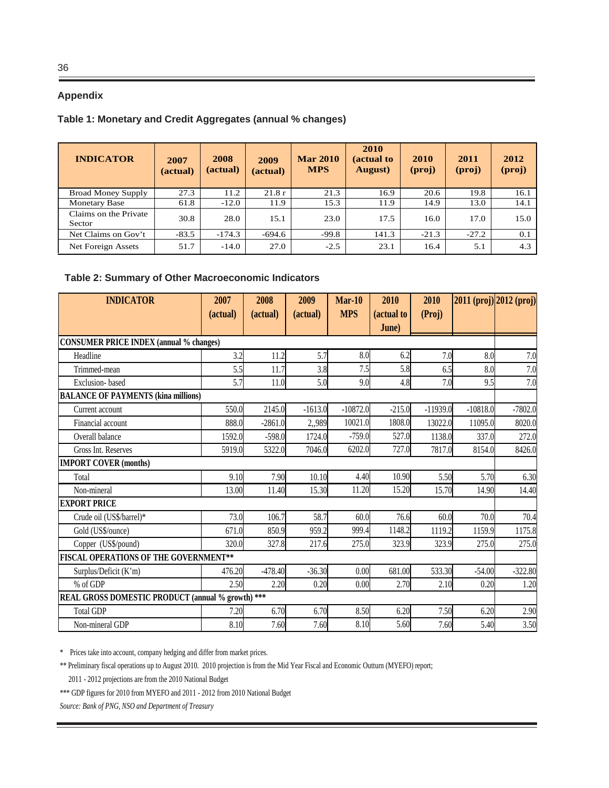# **Appendix**

# **Table 1: Monetary and Credit Aggregates (annual % changes)**

| <b>INDICATOR</b>                | 2007<br>(actual) | 2008<br>(actual) | 2009<br>(actual) | <b>Mar 2010</b><br><b>MPS</b> | 2010<br>(actual to<br>August) | 2010<br>$(\text{proj})$ | 2011<br>(proj) | 2012<br>(proj) |
|---------------------------------|------------------|------------------|------------------|-------------------------------|-------------------------------|-------------------------|----------------|----------------|
| <b>Broad Money Supply</b>       | 27.3             | 11.2             | 21.8r            | 21.3                          | 16.9                          | 20.6                    | 19.8           | 16.1           |
| <b>Monetary Base</b>            | 61.8             | $-12.0$          | 11.9             | 15.3                          | 11.9                          | 14.9                    | 13.0           | 14.1           |
| Claims on the Private<br>Sector | 30.8             | 28.0             | 15.1             | 23.0                          | 17.5                          | 16.0                    | 17.0           | 15.0           |
| Net Claims on Gov't             | $-83.5$          | $-174.3$         | $-694.6$         | $-99.8$                       | 141.3                         | $-21.3$                 | $-27.2$        | 0.1            |
| Net Foreign Assets              | 51.7             | $-14.0$          | 27.0             | $-2.5$                        | 23.1                          | 16.4                    | 5.1            | 4.3            |

## **Table 2: Summary of Other Macroeconomic Indicators**

| <b>INDICATOR</b>                                  | 2007     | 2008      | 2009      | $Mar-10$   | 2010       | 2010       |            | 2011 (proj) 2012 (proj) |
|---------------------------------------------------|----------|-----------|-----------|------------|------------|------------|------------|-------------------------|
|                                                   | (actual) | (actual)  | (actual)  | <b>MPS</b> | (actual to | (Proj)     |            |                         |
|                                                   |          |           |           |            | June)      |            |            |                         |
| <b>CONSUMER PRICE INDEX (annual % changes)</b>    |          |           |           |            |            |            |            |                         |
| Headline                                          | 3.2      | 11.2      | 5.7       | 8.0        | 6.2        | 7.0        | 8.0        | 7.0                     |
| Trimmed-mean                                      | 5.5      | 11.7      | 3.8       | 7.5        | 5.8        | 6.5        | 8.0        | 7.0                     |
| Exclusion-based                                   | 5.7      | 11.0      | 5.0       | 9.0        | 4.8        | 7.0        | 9.5        | 7.0                     |
| <b>BALANCE OF PAYMENTS (kina millions)</b>        |          |           |           |            |            |            |            |                         |
| Current account                                   | 550.0    | 2145.0    | $-1613.0$ | $-10872.0$ | $-215.0$   | $-11939.0$ | $-10818.0$ | $-7802.0$               |
| Financial account                                 | 888.0    | $-2861.0$ | 2,,989    | 10021.0    | 1808.0     | 13022.0    | 11095.0    | 8020.0                  |
| Overall balance                                   | 1592.0   | $-598.0$  | 1724.0    | $-759.0$   | 527.0      | 1138.0     | 337.0      | 272.0                   |
| Gross Int. Reserves                               | 5919.0   | 5322.0    | 7046.0    | 6202.0     | 727.0      | 7817.0     | 8154.0     | 8426.0                  |
| <b>IMPORT COVER (months)</b>                      |          |           |           |            |            |            |            |                         |
| Total                                             | 9.10     | 7.90      | 10.10     | 4.40       | 10.90      | 5.50       | 5.70       | 6.30                    |
| Non-mineral                                       | 13.00    | 11.40     | 15.30     | 11.20      | 15.20      | 15.70      | 14.90      | 14.40                   |
| <b>EXPORT PRICE</b>                               |          |           |           |            |            |            |            |                         |
| Crude oil (US\$/barrel)*                          | 73.0     | 106.7     | 58.7      | 60.0       | 76.6       | 60.0       | 70.0       | 70.4                    |
| Gold (US\$/ounce)                                 | 671.0    | 850.9     | 959.2     | 999.4      | 1148.2     | 1119.2     | 1159.9     | 1175.8                  |
| Copper (US\$/pound)                               | 320.0    | 327.8     | 217.6     | 275.0      | 323.9      | 323.9      | 275.0      | 275.0                   |
| <b>FISCAL OPERATIONS OF THE GOVERNMENT**</b>      |          |           |           |            |            |            |            |                         |
| Surplus/Deficit (K'm)                             | 476.20   | $-478.40$ | $-36.30$  | 0.00       | 681.00     | 533.30     | $-54.00$   | $-322.80$               |
| % of GDP                                          | 2.50     | 2.20      | 0.20      | 0.00       | 2.70       | 2.10       | 0.20       | 1.20                    |
| REAL GROSS DOMESTIC PRODUCT (annual % growth) *** |          |           |           |            |            |            |            |                         |
| <b>Total GDP</b>                                  | 7.20     | 6.70      | 6.70      | 8.50       | 6.20       | 7.50       | 6.20       | 2.90                    |
| Non-mineral GDP                                   | 8.10     | 7.60      | 7.60      | 8.10       | 5.60       | 7.60       | 5.40       | 3.50                    |

\* Prices take into account, company hedging and differ from market prices.

\*\* Preliminary fiscal operations up to August 2010. 2010 projection is from the Mid Year Fiscal and Economic Outturn (MYEFO) report;

2011 - 2012 projections are from the 2010 National Budget

\*\*\* GDP figures for 2010 from MYEFO and 2011 - 2012 from 2010 National Budget

*Source: Bank of PNG, NSO and Department of Treasury*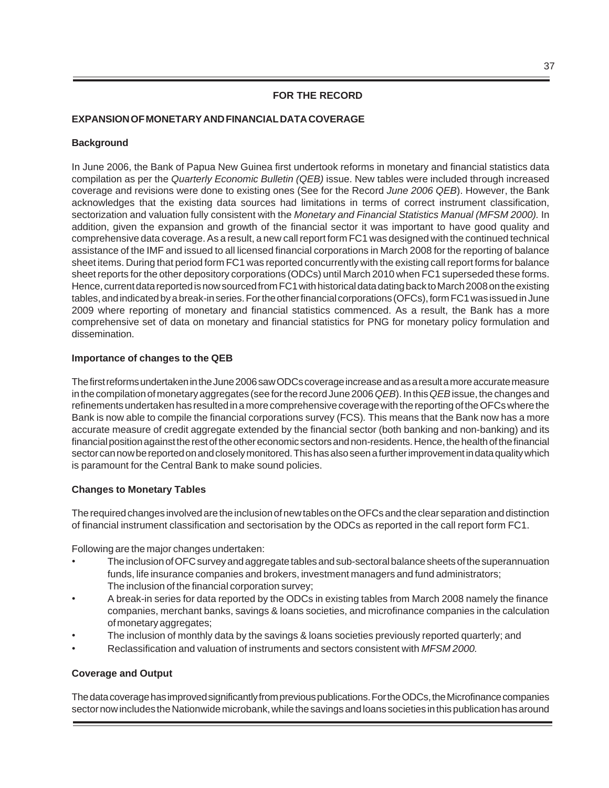# **FOR THE RECORD**

# **EXPANSION OF MONETARY AND FINANCIAL DATA COVERAGE**

## **Background**

In June 2006, the Bank of Papua New Guinea first undertook reforms in monetary and financial statistics data compilation as per the *Quarterly Economic Bulletin (QEB)* issue. New tables were included through increased coverage and revisions were done to existing ones (See for the Record *June 2006 QEB*). However, the Bank acknowledges that the existing data sources had limitations in terms of correct instrument classification, sectorization and valuation fully consistent with the *Monetary and Financial Statistics Manual (MFSM 2000).* In addition, given the expansion and growth of the financial sector it was important to have good quality and comprehensive data coverage. As a result, a new call report form FC1 was designed with the continued technical assistance of the IMF and issued to all licensed financial corporations in March 2008 for the reporting of balance sheet items. During that period form FC1 was reported concurrently with the existing call report forms for balance sheet reports for the other depository corporations (ODCs) until March 2010 when FC1 superseded these forms. Hence, current data reported is now sourced from FC1 with historical data dating back to March 2008 on the existing tables, and indicated by a break-in series. For the other financial corporations (OFCs), form FC1 was issued in June 2009 where reporting of monetary and financial statistics commenced. As a result, the Bank has a more comprehensive set of data on monetary and financial statistics for PNG for monetary policy formulation and dissemination.

## **Importance of changes to the QEB**

The first reforms undertaken in the June 2006 saw ODCs coverage increase and as a result a more accurate measure in the compilation of monetary aggregates (see for the record June 2006 *QEB*). In this *QEB* issue, the changes and refinements undertaken has resulted in a more comprehensive coverage with the reporting of the OFCs where the Bank is now able to compile the financial corporations survey (FCS)*.* This means that the Bank now has a more accurate measure of credit aggregate extended by the financial sector (both banking and non-banking) and its financial position against the rest of the other economic sectors and non-residents. Hence, the health of the financial sector can now be reported on and closely monitored. This has also seen a further improvement in data quality which is paramount for the Central Bank to make sound policies.

# **Changes to Monetary Tables**

The required changes involved are the inclusion of new tables on the OFCs and the clear separation and distinction of financial instrument classification and sectorisation by the ODCs as reported in the call report form FC1.

Following are the major changes undertaken:

- The inclusion of OFC survey and aggregate tables and sub-sectoral balance sheets of the superannuation funds, life insurance companies and brokers, investment managers and fund administrators; The inclusion of the financial corporation survey;
- A break-in series for data reported by the ODCs in existing tables from March 2008 namely the finance companies, merchant banks, savings & loans societies, and microfinance companies in the calculation of monetary aggregates;
- The inclusion of monthly data by the savings & loans societies previously reported quarterly; and
- Reclassification and valuation of instruments and sectors consistent with *MFSM 2000.*

#### **Coverage and Output**

The data coverage has improved significantly from previous publications. For the ODCs, the Microfinance companies sector now includes the Nationwide microbank, while the savings and loans societies in this publication has around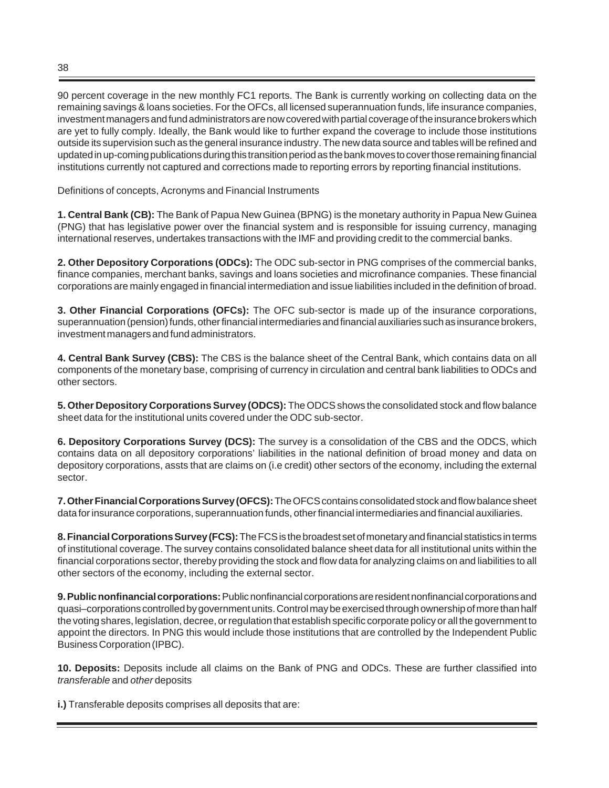90 percent coverage in the new monthly FC1 reports. The Bank is currently working on collecting data on the remaining savings & loans societies. For the OFCs, all licensed superannuation funds, life insurance companies, investment managers and fund administrators are now covered with partial coverage of the insurance brokers which are yet to fully comply. Ideally, the Bank would like to further expand the coverage to include those institutions outside its supervision such as the general insurance industry. The new data source and tables will be refined and updated in up-coming publications during this transition period as the bank moves to cover those remaining financial institutions currently not captured and corrections made to reporting errors by reporting financial institutions.

Definitions of concepts, Acronyms and Financial Instruments

**1. Central Bank (CB):** The Bank of Papua New Guinea (BPNG) is the monetary authority in Papua New Guinea (PNG) that has legislative power over the financial system and is responsible for issuing currency, managing international reserves, undertakes transactions with the IMF and providing credit to the commercial banks.

**2. Other Depository Corporations (ODCs):** The ODC sub-sector in PNG comprises of the commercial banks, finance companies, merchant banks, savings and loans societies and microfinance companies. These financial corporations are mainly engaged in financial intermediation and issue liabilities included in the definition of broad.

**3. Other Financial Corporations (OFCs):** The OFC sub-sector is made up of the insurance corporations, superannuation (pension) funds, other financial intermediaries and financial auxiliaries such as insurance brokers, investment managers and fund administrators.

**4. Central Bank Survey (CBS):** The CBS is the balance sheet of the Central Bank, which contains data on all components of the monetary base, comprising of currency in circulation and central bank liabilities to ODCs and other sectors.

**5. Other Depository Corporations Survey (ODCS):** The ODCS shows the consolidated stock and flow balance sheet data for the institutional units covered under the ODC sub-sector.

**6. Depository Corporations Survey (DCS):** The survey is a consolidation of the CBS and the ODCS, which contains data on all depository corporations' liabilities in the national definition of broad money and data on depository corporations, assts that are claims on (i.e credit) other sectors of the economy, including the external sector.

**7. Other Financial Corporations Survey (OFCS):** The OFCS contains consolidated stock and flow balance sheet data for insurance corporations, superannuation funds, other financial intermediaries and financial auxiliaries.

**8. Financial Corporations Survey (FCS):** The FCS is the broadest set of monetary and financial statistics in terms of institutional coverage. The survey contains consolidated balance sheet data for all institutional units within the financial corporations sector, thereby providing the stock and flow data for analyzing claims on and liabilities to all other sectors of the economy, including the external sector.

**9. Public nonfinancial corporations:** Public nonfinancial corporations are resident nonfinancial corporations and quasi–corporations controlled by government units. Control may be exercised through ownership of more than half the voting shares, legislation, decree, or regulation that establish specific corporate policy or all the government to appoint the directors. In PNG this would include those institutions that are controlled by the Independent Public Business Corporation (IPBC).

**10. Deposits:** Deposits include all claims on the Bank of PNG and ODCs. These are further classified into *transferable* and *other* deposits

**i.)** Transferable deposits comprises all deposits that are: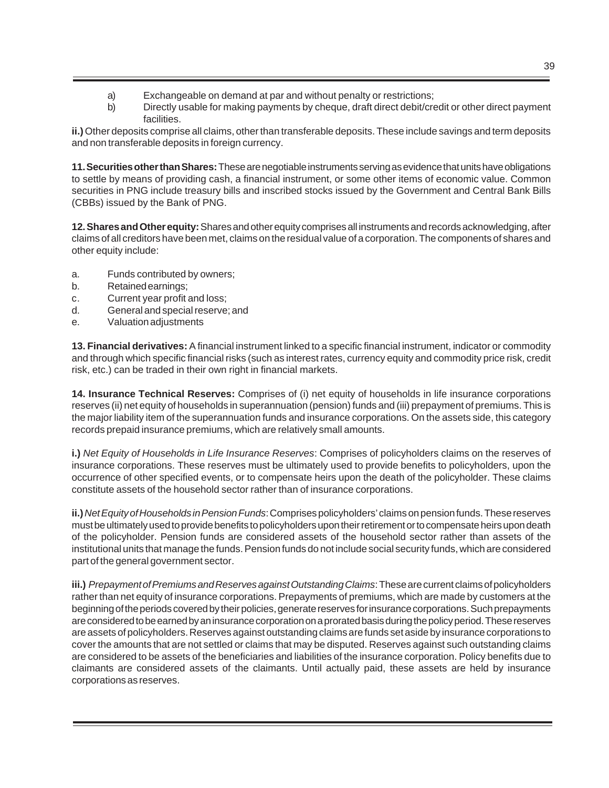- a) Exchangeable on demand at par and without penalty or restrictions;
- b) Directly usable for making payments by cheque, draft direct debit/credit or other direct payment facilities.

**ii.)** Other deposits comprise all claims, other than transferable deposits. These include savings and term deposits and non transferable deposits in foreign currency.

**11. Securities other than Shares:** These are negotiable instruments serving as evidence that units have obligations to settle by means of providing cash, a financial instrument, or some other items of economic value. Common securities in PNG include treasury bills and inscribed stocks issued by the Government and Central Bank Bills (CBBs) issued by the Bank of PNG.

**12. Shares and Other equity:** Shares and other equity comprises all instruments and records acknowledging, after claims of all creditors have been met, claims on the residual value of a corporation. The components of shares and other equity include:

- a. Funds contributed by owners;
- b. Retained earnings;
- c. Current year profit and loss;
- d. General and special reserve; and
- e. Valuation adjustments

**13. Financial derivatives:** A financial instrument linked to a specific financial instrument, indicator or commodity and through which specific financial risks (such as interest rates, currency equity and commodity price risk, credit risk, etc.) can be traded in their own right in financial markets.

**14. Insurance Technical Reserves:** Comprises of (i) net equity of households in life insurance corporations reserves (ii) net equity of households in superannuation (pension) funds and (iii) prepayment of premiums. This is the major liability item of the superannuation funds and insurance corporations. On the assets side, this category records prepaid insurance premiums, which are relatively small amounts.

**i.)** *Net Equity of Households in Life Insurance Reserves*: Comprises of policyholders claims on the reserves of insurance corporations. These reserves must be ultimately used to provide benefits to policyholders, upon the occurrence of other specified events, or to compensate heirs upon the death of the policyholder. These claims constitute assets of the household sector rather than of insurance corporations.

**ii.)** *Net Equity of Households in Pension Funds*: Comprises policyholders' claims on pension funds. These reserves must be ultimately used to provide benefits to policyholders upon their retirement or to compensate heirs upon death of the policyholder. Pension funds are considered assets of the household sector rather than assets of the institutional units that manage the funds. Pension funds do not include social security funds, which are considered part of the general government sector.

**iii.)** *Prepayment of Premiums and Reserves against Outstanding Claims*: These are current claims of policyholders rather than net equity of insurance corporations. Prepayments of premiums, which are made by customers at the beginning of the periods covered by their policies, generate reserves for insurance corporations. Such prepayments are considered to be earned by an insurance corporation on a prorated basis during the policy period. These reserves are assets of policyholders. Reserves against outstanding claims are funds set aside by insurance corporations to cover the amounts that are not settled or claims that may be disputed. Reserves against such outstanding claims are considered to be assets of the beneficiaries and liabilities of the insurance corporation. Policy benefits due to claimants are considered assets of the claimants. Until actually paid, these assets are held by insurance corporations as reserves.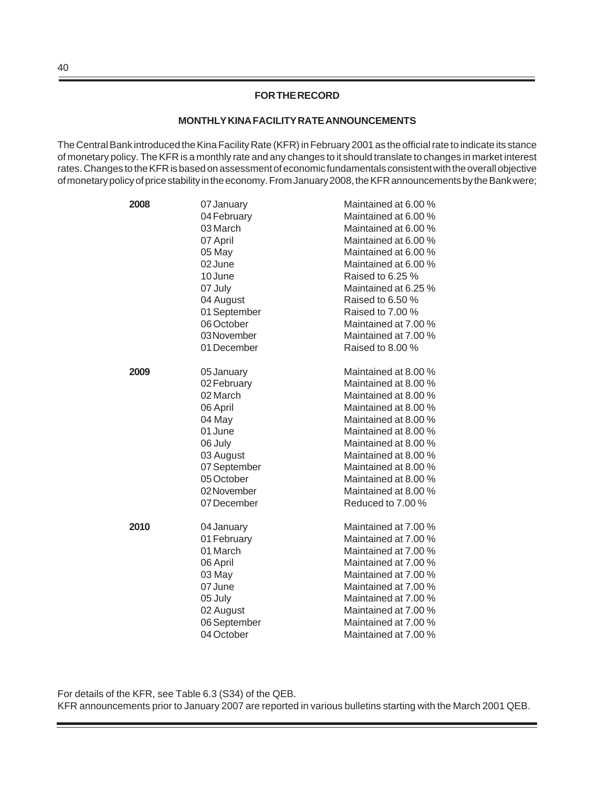# **FOR THE RECORD**

#### **MONTHLY KINA FACILITY RATE ANNOUNCEMENTS**

The Central Bank introduced the Kina Facility Rate (KFR) in February 2001 as the official rate to indicate its stance of monetary policy. The KFR is a monthly rate and any changes to it should translate to changes in market interest rates. Changes to the KFR is based on assessment of economic fundamentals consistent with the overall objective of monetary policy of price stability in the economy. From January 2008, the KFR announcements by the Bank were;

| 2008 | 07 January   | Maintained at 6.00 % |
|------|--------------|----------------------|
|      | 04 February  | Maintained at 6.00 % |
|      | 03 March     | Maintained at 6.00 % |
|      | 07 April     | Maintained at 6.00 % |
|      | 05 May       | Maintained at 6.00 % |
|      | 02 June      | Maintained at 6.00 % |
|      | 10 June      | Raised to 6.25 %     |
|      | 07 July      | Maintained at 6.25 % |
|      | 04 August    | Raised to 6.50 %     |
|      | 01 September | Raised to 7.00 %     |
|      | 06 October   | Maintained at 7.00 % |
|      | 03 November  | Maintained at 7.00 % |
|      | 01 December  | Raised to 8.00 %     |
| 2009 | 05 January   | Maintained at 8.00 % |
|      | 02 February  | Maintained at 8.00 % |
|      | 02 March     | Maintained at 8.00 % |
|      | 06 April     | Maintained at 8.00 % |
|      | 04 May       | Maintained at 8.00 % |
|      | 01 June      | Maintained at 8.00 % |
|      | 06 July      | Maintained at 8.00 % |
|      | 03 August    | Maintained at 8.00 % |
|      | 07 September | Maintained at 8.00 % |
|      | 05 October   | Maintained at 8.00 % |
|      | 02 November  | Maintained at 8.00 % |
|      | 07 December  | Reduced to 7.00 %    |
| 2010 | 04 January   | Maintained at 7.00 % |
|      | 01 February  | Maintained at 7.00 % |
|      | 01 March     | Maintained at 7.00 % |
|      | 06 April     | Maintained at 7.00 % |
|      | 03 May       | Maintained at 7.00 % |
|      | 07 June      | Maintained at 7.00 % |
|      | 05 July      | Maintained at 7.00 % |
|      | 02 August    | Maintained at 7.00 % |
|      | 06 September | Maintained at 7.00 % |
|      | 04 October   | Maintained at 7.00 % |

For details of the KFR, see Table 6.3 (S34) of the QEB. KFR announcements prior to January 2007 are reported in various bulletins starting with the March 2001 QEB.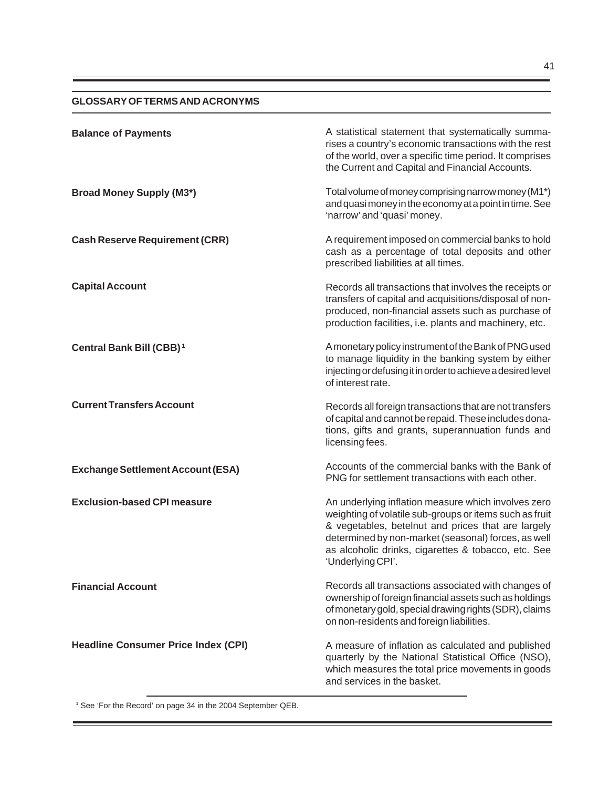# **GLOSSARY OF TERMS AND ACRONYMS**

| <b>Balance of Payments</b>                 | A statistical statement that systematically summa-<br>rises a country's economic transactions with the rest<br>of the world, over a specific time period. It comprises<br>the Current and Capital and Financial Accounts.                                                                               |
|--------------------------------------------|---------------------------------------------------------------------------------------------------------------------------------------------------------------------------------------------------------------------------------------------------------------------------------------------------------|
| <b>Broad Money Supply (M3*)</b>            | Total volume of money comprising narrow money (M1*)<br>and quasi money in the economy at a point in time. See<br>'narrow' and 'quasi' money.                                                                                                                                                            |
| <b>Cash Reserve Requirement (CRR)</b>      | A requirement imposed on commercial banks to hold<br>cash as a percentage of total deposits and other<br>prescribed liabilities at all times.                                                                                                                                                           |
| <b>Capital Account</b>                     | Records all transactions that involves the receipts or<br>transfers of capital and acquisitions/disposal of non-<br>produced, non-financial assets such as purchase of<br>production facilities, i.e. plants and machinery, etc.                                                                        |
| Central Bank Bill (CBB) <sup>1</sup>       | A monetary policy instrument of the Bank of PNG used<br>to manage liquidity in the banking system by either<br>injecting or defusing it in order to achieve a desired level<br>of interest rate.                                                                                                        |
| <b>Current Transfers Account</b>           | Records all foreign transactions that are not transfers<br>of capital and cannot be repaid. These includes dona-<br>tions, gifts and grants, superannuation funds and<br>licensing fees.                                                                                                                |
| <b>Exchange Settlement Account (ESA)</b>   | Accounts of the commercial banks with the Bank of<br>PNG for settlement transactions with each other.                                                                                                                                                                                                   |
| <b>Exclusion-based CPI measure</b>         | An underlying inflation measure which involves zero<br>weighting of volatile sub-groups or items such as fruit<br>& vegetables, betelnut and prices that are largely<br>determined by non-market (seasonal) forces, as well<br>as alcoholic drinks, cigarettes & tobacco, etc. See<br>'Underlying CPI'. |
| <b>Financial Account</b>                   | Records all transactions associated with changes of<br>ownership of foreign financial assets such as holdings<br>of monetary gold, special drawing rights (SDR), claims<br>on non-residents and foreign liabilities.                                                                                    |
| <b>Headline Consumer Price Index (CPI)</b> | A measure of inflation as calculated and published<br>quarterly by the National Statistical Office (NSO),<br>which measures the total price movements in goods<br>and services in the basket.                                                                                                           |

<sup>1</sup> See 'For the Record' on page 34 in the 2004 September QEB.

÷,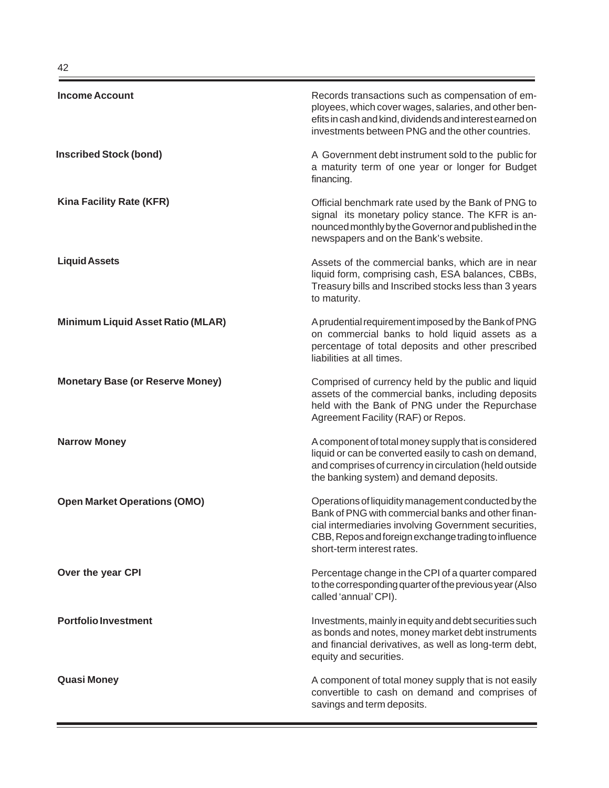| <b>Income Account</b>                    | Records transactions such as compensation of em-<br>ployees, which cover wages, salaries, and other ben-<br>efits in cash and kind, dividends and interest earned on<br>investments between PNG and the other countries.                                |
|------------------------------------------|---------------------------------------------------------------------------------------------------------------------------------------------------------------------------------------------------------------------------------------------------------|
| <b>Inscribed Stock (bond)</b>            | A Government debt instrument sold to the public for<br>a maturity term of one year or longer for Budget<br>financing.                                                                                                                                   |
| Kina Facility Rate (KFR)                 | Official benchmark rate used by the Bank of PNG to<br>signal its monetary policy stance. The KFR is an-<br>nounced monthly by the Governor and published in the<br>newspapers and on the Bank's website.                                                |
| <b>Liquid Assets</b>                     | Assets of the commercial banks, which are in near<br>liquid form, comprising cash, ESA balances, CBBs,<br>Treasury bills and Inscribed stocks less than 3 years<br>to maturity.                                                                         |
| <b>Minimum Liquid Asset Ratio (MLAR)</b> | A prudential requirement imposed by the Bank of PNG<br>on commercial banks to hold liquid assets as a<br>percentage of total deposits and other prescribed<br>liabilities at all times.                                                                 |
| <b>Monetary Base (or Reserve Money)</b>  | Comprised of currency held by the public and liquid<br>assets of the commercial banks, including deposits<br>held with the Bank of PNG under the Repurchase<br>Agreement Facility (RAF) or Repos.                                                       |
| <b>Narrow Money</b>                      | A component of total money supply that is considered<br>liquid or can be converted easily to cash on demand,<br>and comprises of currency in circulation (held outside<br>the banking system) and demand deposits.                                      |
| <b>Open Market Operations (OMO)</b>      | Operations of liquidity management conducted by the<br>Bank of PNG with commercial banks and other finan-<br>cial intermediaries involving Government securities,<br>CBB, Repos and foreign exchange trading to influence<br>short-term interest rates. |
| Over the year CPI                        | Percentage change in the CPI of a quarter compared<br>to the corresponding quarter of the previous year (Also<br>called 'annual' CPI).                                                                                                                  |
| <b>Portfolio Investment</b>              | Investments, mainly in equity and debt securities such<br>as bonds and notes, money market debt instruments<br>and financial derivatives, as well as long-term debt,<br>equity and securities.                                                          |
| <b>Quasi Money</b>                       | A component of total money supply that is not easily<br>convertible to cash on demand and comprises of<br>savings and term deposits.                                                                                                                    |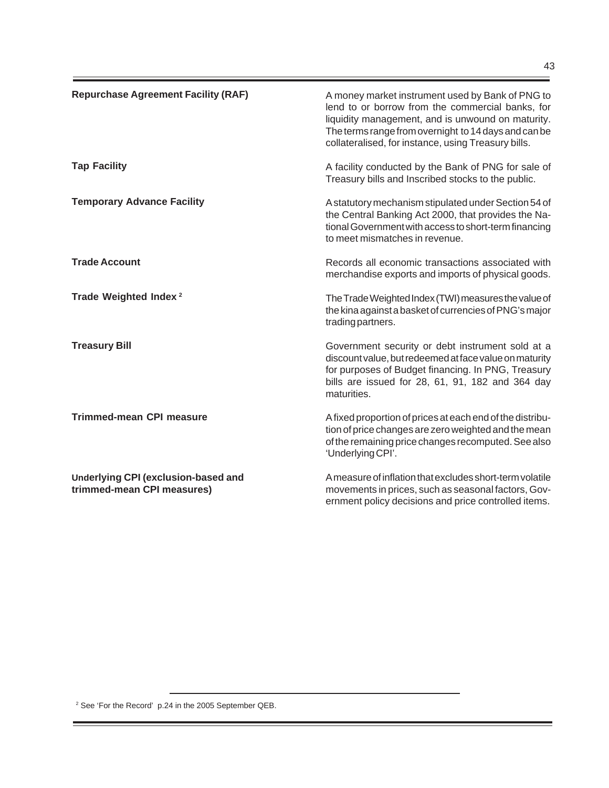÷,

| <b>Repurchase Agreement Facility (RAF)</b>                        | A money market instrument used by Bank of PNG to<br>lend to or borrow from the commercial banks, for<br>liquidity management, and is unwound on maturity.<br>The terms range from overnight to 14 days and can be<br>collateralised, for instance, using Treasury bills. |
|-------------------------------------------------------------------|--------------------------------------------------------------------------------------------------------------------------------------------------------------------------------------------------------------------------------------------------------------------------|
| <b>Tap Facility</b>                                               | A facility conducted by the Bank of PNG for sale of<br>Treasury bills and Inscribed stocks to the public.                                                                                                                                                                |
| <b>Temporary Advance Facility</b>                                 | A statutory mechanism stipulated under Section 54 of<br>the Central Banking Act 2000, that provides the Na-<br>tional Government with access to short-term financing<br>to meet mismatches in revenue.                                                                   |
| <b>Trade Account</b>                                              | Records all economic transactions associated with<br>merchandise exports and imports of physical goods.                                                                                                                                                                  |
| Trade Weighted Index <sup>2</sup>                                 | The Trade Weighted Index (TWI) measures the value of<br>the kina against a basket of currencies of PNG's major<br>trading partners.                                                                                                                                      |
| <b>Treasury Bill</b>                                              | Government security or debt instrument sold at a<br>discount value, but redeemed at face value on maturity<br>for purposes of Budget financing. In PNG, Treasury<br>bills are issued for 28, 61, 91, 182 and 364 day<br>maturities.                                      |
| <b>Trimmed-mean CPI measure</b>                                   | A fixed proportion of prices at each end of the distribu-<br>tion of price changes are zero weighted and the mean<br>of the remaining price changes recomputed. See also<br>'Underlying CPI'.                                                                            |
| Underlying CPI (exclusion-based and<br>trimmed-mean CPI measures) | A measure of inflation that excludes short-term volatile<br>movements in prices, such as seasonal factors, Gov-<br>ernment policy decisions and price controlled items.                                                                                                  |

<sup>2</sup> See 'For the Record' p.24 in the 2005 September QEB.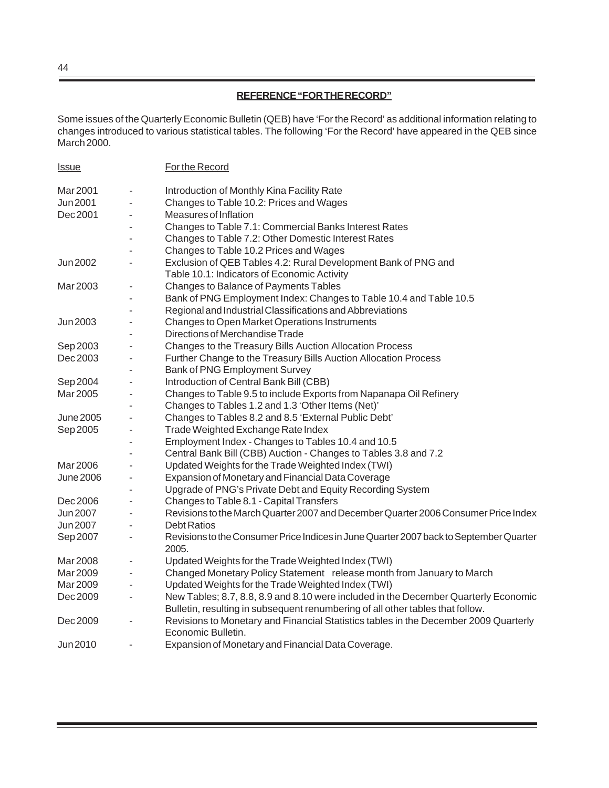# **REFERENCE "FOR THE RECORD"**

Some issues of the Quarterly Economic Bulletin (QEB) have 'For the Record' as additional information relating to changes introduced to various statistical tables. The following 'For the Record' have appeared in the QEB since March 2000.

| <b>Issue</b>     |                          | For the Record                                                                                  |
|------------------|--------------------------|-------------------------------------------------------------------------------------------------|
| Mar 2001         |                          | Introduction of Monthly Kina Facility Rate                                                      |
| Jun 2001         | $\blacksquare$           | Changes to Table 10.2: Prices and Wages                                                         |
| Dec 2001         |                          | Measures of Inflation                                                                           |
|                  |                          | Changes to Table 7.1: Commercial Banks Interest Rates                                           |
|                  |                          | Changes to Table 7.2: Other Domestic Interest Rates                                             |
|                  |                          | Changes to Table 10.2 Prices and Wages                                                          |
| Jun 2002         |                          | Exclusion of QEB Tables 4.2: Rural Development Bank of PNG and                                  |
|                  |                          | Table 10.1: Indicators of Economic Activity                                                     |
| Mar 2003         | $\overline{\phantom{a}}$ | Changes to Balance of Payments Tables                                                           |
|                  |                          | Bank of PNG Employment Index: Changes to Table 10.4 and Table 10.5                              |
|                  |                          | Regional and Industrial Classifications and Abbreviations                                       |
| Jun 2003         |                          | Changes to Open Market Operations Instruments                                                   |
|                  |                          | Directions of Merchandise Trade                                                                 |
| Sep 2003         | $\blacksquare$           | Changes to the Treasury Bills Auction Allocation Process                                        |
| Dec 2003         |                          | Further Change to the Treasury Bills Auction Allocation Process                                 |
|                  |                          | Bank of PNG Employment Survey                                                                   |
| Sep 2004         |                          | Introduction of Central Bank Bill (CBB)                                                         |
| Mar 2005         | $\overline{\phantom{a}}$ | Changes to Table 9.5 to include Exports from Napanapa Oil Refinery                              |
|                  |                          | Changes to Tables 1.2 and 1.3 'Other Items (Net)'                                               |
| June 2005        |                          | Changes to Tables 8.2 and 8.5 'External Public Debt'                                            |
| Sep 2005         |                          | Trade Weighted Exchange Rate Index                                                              |
|                  |                          | Employment Index - Changes to Tables 10.4 and 10.5                                              |
|                  |                          | Central Bank Bill (CBB) Auction - Changes to Tables 3.8 and 7.2                                 |
| Mar 2006         |                          | Updated Weights for the Trade Weighted Index (TWI)                                              |
| <b>June 2006</b> | $\overline{\phantom{a}}$ | Expansion of Monetary and Financial Data Coverage                                               |
|                  |                          | Upgrade of PNG's Private Debt and Equity Recording System                                       |
| Dec 2006         |                          | Changes to Table 8.1 - Capital Transfers                                                        |
| <b>Jun 2007</b>  | $\sim$                   | Revisions to the March Quarter 2007 and December Quarter 2006 Consumer Price Index              |
| Jun 2007         |                          | <b>Debt Ratios</b>                                                                              |
| Sep 2007         |                          | Revisions to the Consumer Price Indices in June Quarter 2007 back to September Quarter<br>2005. |
| Mar 2008         | $\overline{\phantom{m}}$ | Updated Weights for the Trade Weighted Index (TWI)                                              |
| Mar 2009         |                          | Changed Monetary Policy Statement release month from January to March                           |
| Mar 2009         |                          | Updated Weights for the Trade Weighted Index (TWI)                                              |
| Dec 2009         | $\overline{\phantom{0}}$ | New Tables; 8.7, 8.8, 8.9 and 8.10 were included in the December Quarterly Economic             |
|                  |                          | Bulletin, resulting in subsequent renumbering of all other tables that follow.                  |
| Dec 2009         |                          | Revisions to Monetary and Financial Statistics tables in the December 2009 Quarterly            |
|                  |                          | Economic Bulletin.                                                                              |
| Jun 2010         |                          | Expansion of Monetary and Financial Data Coverage.                                              |

44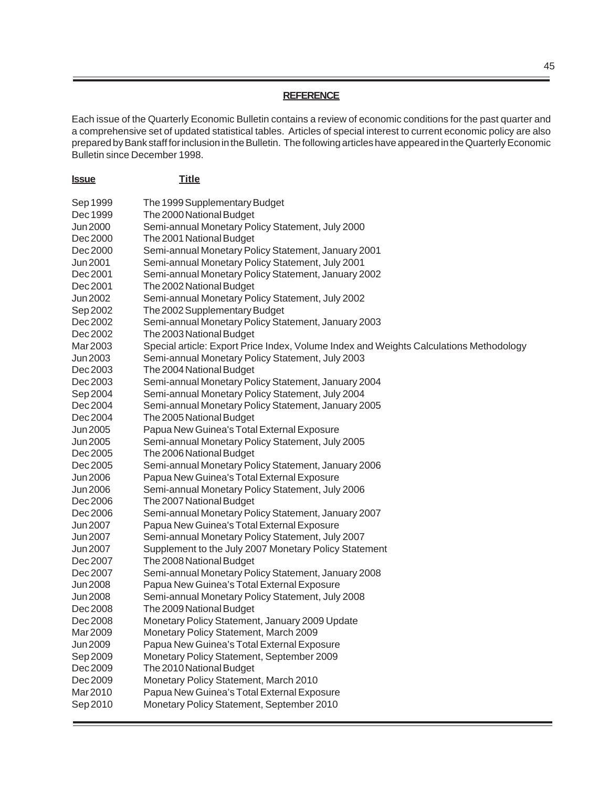## **REFERENCE**

Each issue of the Quarterly Economic Bulletin contains a review of economic conditions for the past quarter and a comprehensive set of updated statistical tables. Articles of special interest to current economic policy are also prepared by Bank staff for inclusion in the Bulletin. The following articles have appeared in the Quarterly Economic Bulletin since December 1998.

| <u><b>Issue</b></u>  | <b>Title</b>                                                                           |
|----------------------|----------------------------------------------------------------------------------------|
| Sep 1999             | The 1999 Supplementary Budget                                                          |
| Dec 1999             | The 2000 National Budget                                                               |
| Jun 2000             | Semi-annual Monetary Policy Statement, July 2000                                       |
| Dec 2000             | The 2001 National Budget                                                               |
| Dec 2000             | Semi-annual Monetary Policy Statement, January 2001                                    |
| Jun 2001             | Semi-annual Monetary Policy Statement, July 2001                                       |
| Dec 2001             | Semi-annual Monetary Policy Statement, January 2002                                    |
| Dec 2001             | The 2002 National Budget                                                               |
| Jun 2002             | Semi-annual Monetary Policy Statement, July 2002                                       |
| Sep 2002             | The 2002 Supplementary Budget                                                          |
| Dec 2002             | Semi-annual Monetary Policy Statement, January 2003                                    |
| Dec 2002             | The 2003 National Budget                                                               |
| Mar 2003             | Special article: Export Price Index, Volume Index and Weights Calculations Methodology |
| Jun 2003             | Semi-annual Monetary Policy Statement, July 2003                                       |
| Dec 2003             | The 2004 National Budget                                                               |
| Dec 2003             | Semi-annual Monetary Policy Statement, January 2004                                    |
| Sep 2004             | Semi-annual Monetary Policy Statement, July 2004                                       |
| Dec 2004             | Semi-annual Monetary Policy Statement, January 2005                                    |
| Dec 2004             | The 2005 National Budget                                                               |
| Jun 2005             | Papua New Guinea's Total External Exposure                                             |
| Jun 2005             | Semi-annual Monetary Policy Statement, July 2005                                       |
| Dec 2005             | The 2006 National Budget                                                               |
| Dec 2005             | Semi-annual Monetary Policy Statement, January 2006                                    |
| Jun 2006             | Papua New Guinea's Total External Exposure                                             |
| Jun 2006             | Semi-annual Monetary Policy Statement, July 2006                                       |
| Dec 2006             | The 2007 National Budget                                                               |
| Dec 2006             | Semi-annual Monetary Policy Statement, January 2007                                    |
| Jun 2007             | Papua New Guinea's Total External Exposure                                             |
| Jun 2007             | Semi-annual Monetary Policy Statement, July 2007                                       |
| Jun 2007             | Supplement to the July 2007 Monetary Policy Statement                                  |
| Dec 2007             | The 2008 National Budget                                                               |
| Dec 2007             | Semi-annual Monetary Policy Statement, January 2008                                    |
| Jun 2008<br>Jun 2008 | Papua New Guinea's Total External Exposure                                             |
|                      | Semi-annual Monetary Policy Statement, July 2008                                       |
| Dec 2008             | The 2009 National Budget<br>Monetary Policy Statement, January 2009 Update             |
| Dec 2008<br>Mar 2009 | Monetary Policy Statement, March 2009                                                  |
| Jun 2009             | Papua New Guinea's Total External Exposure                                             |
| Sep 2009             | Monetary Policy Statement, September 2009                                              |
| Dec 2009             | The 2010 National Budget                                                               |
| Dec 2009             | Monetary Policy Statement, March 2010                                                  |
| Mar2010              | Papua New Guinea's Total External Exposure                                             |
| Sep 2010             | Monetary Policy Statement, September 2010                                              |
|                      |                                                                                        |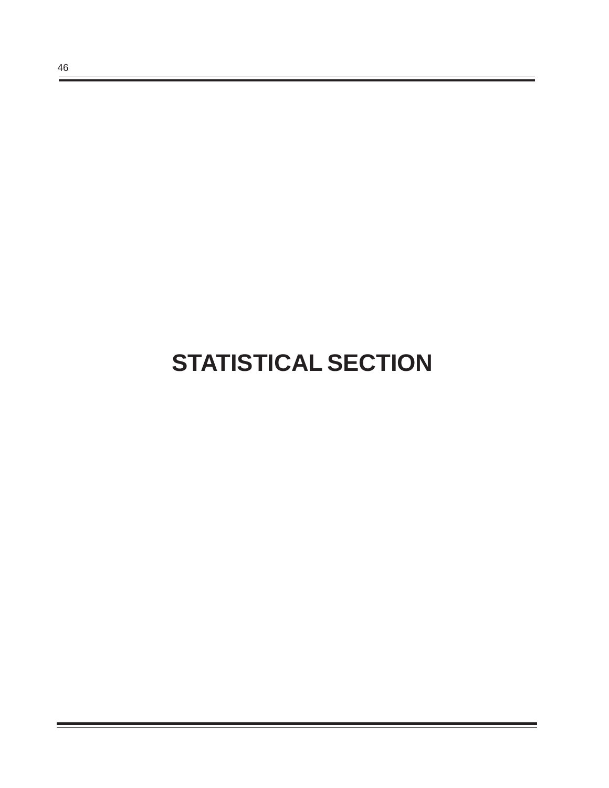# **STATISTICAL SECTION**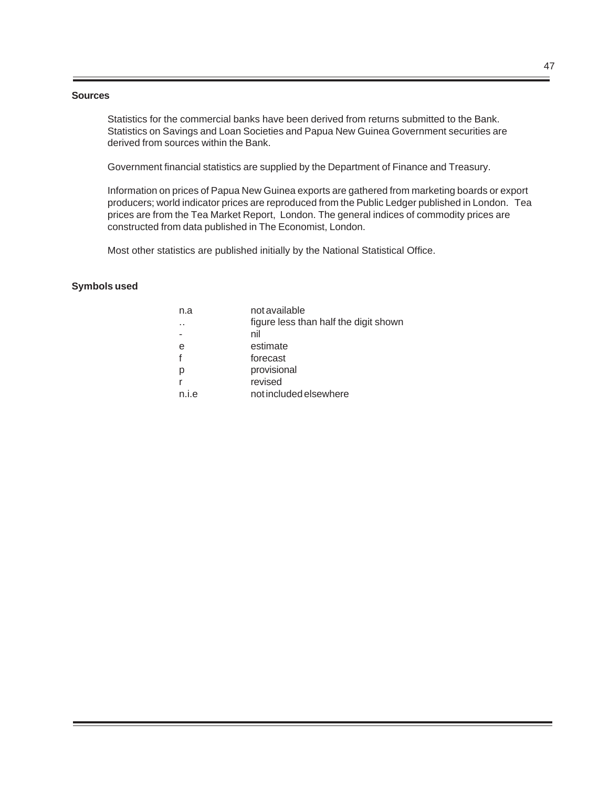#### **Sources**

Statistics for the commercial banks have been derived from returns submitted to the Bank. Statistics on Savings and Loan Societies and Papua New Guinea Government securities are derived from sources within the Bank.

Government financial statistics are supplied by the Department of Finance and Treasury.

Information on prices of Papua New Guinea exports are gathered from marketing boards or export producers; world indicator prices are reproduced from the Public Ledger published in London. Tea prices are from the Tea Market Report, London. The general indices of commodity prices are constructed from data published in The Economist, London.

Most other statistics are published initially by the National Statistical Office.

## **Symbols used**

| n.a                  | not available                         |
|----------------------|---------------------------------------|
| $\ddot{\phantom{a}}$ | figure less than half the digit shown |
|                      | nil                                   |
| e                    | estimate                              |
| f                    | forecast                              |
| р                    | provisional                           |
| r                    | revised                               |
| n.i.e                | not included elsewhere                |
|                      |                                       |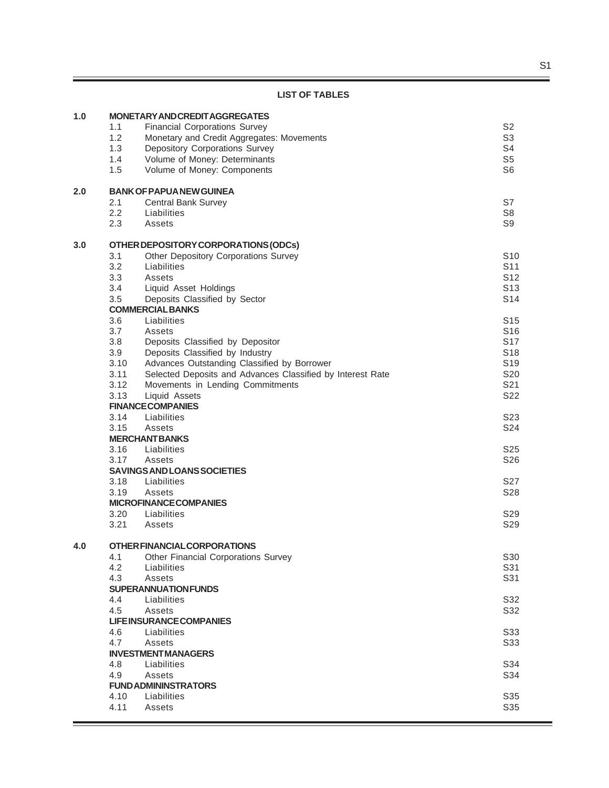# **LIST OF TABLES**

| 1.0 |      | <b>MONETARY AND CREDITAGGREGATES</b>                       |                 |
|-----|------|------------------------------------------------------------|-----------------|
|     | 1.1  | <b>Financial Corporations Survey</b>                       | S <sub>2</sub>  |
|     | 1.2  | Monetary and Credit Aggregates: Movements                  | S <sub>3</sub>  |
|     | 1.3  | <b>Depository Corporations Survey</b>                      | S4              |
|     | 1.4  | Volume of Money: Determinants                              | S <sub>5</sub>  |
|     | 1.5  | Volume of Money: Components                                | S <sub>6</sub>  |
|     |      |                                                            |                 |
| 2.0 |      | <b>BANK OF PAPUA NEW GUINEA</b>                            |                 |
|     | 2.1  | <b>Central Bank Survey</b>                                 | S7              |
|     | 2.2  | Liabilities                                                | S <sub>8</sub>  |
|     | 2.3  | Assets                                                     | S <sub>9</sub>  |
| 3.0 |      | OTHER DEPOSITORY CORPORATIONS (ODCs)                       |                 |
|     | 3.1  | Other Depository Corporations Survey                       | S <sub>10</sub> |
|     | 3.2  | Liabilities                                                | S <sub>11</sub> |
|     | 3.3  | Assets                                                     | S <sub>12</sub> |
|     | 3.4  | Liquid Asset Holdings                                      | S <sub>13</sub> |
|     | 3.5  | Deposits Classified by Sector                              | S <sub>14</sub> |
|     |      | <b>COMMERCIAL BANKS</b>                                    |                 |
|     | 3.6  | Liabilities                                                | S <sub>15</sub> |
|     | 3.7  | Assets                                                     | S <sub>16</sub> |
|     | 3.8  | Deposits Classified by Depositor                           | S <sub>17</sub> |
|     | 3.9  | Deposits Classified by Industry                            | S <sub>18</sub> |
|     | 3.10 | Advances Outstanding Classified by Borrower                | S <sub>19</sub> |
|     | 3.11 | Selected Deposits and Advances Classified by Interest Rate | S <sub>20</sub> |
|     | 3.12 | Movements in Lending Commitments                           | S21             |
|     | 3.13 | Liquid Assets                                              | S22             |
|     |      | <b>FINANCE COMPANIES</b>                                   |                 |
|     | 3.14 | Liabilities                                                | S <sub>23</sub> |
|     | 3.15 | Assets                                                     | S24             |
|     |      | <b>MERCHANTBANKS</b>                                       |                 |
|     | 3.16 | Liabilities                                                | S <sub>25</sub> |
|     | 3.17 | Assets                                                     | S26             |
|     |      | <b>SAVINGS AND LOANS SOCIETIES</b>                         |                 |
|     | 3.18 | Liabilities                                                | S <sub>27</sub> |
|     | 3.19 | Assets                                                     | S28             |
|     |      | <b>MICROFINANCECOMPANIES</b>                               |                 |
|     | 3.20 | Liabilities                                                | S <sub>29</sub> |
|     | 3.21 | Assets                                                     | S <sub>29</sub> |
| 4.0 |      | OTHER FINANCIAL CORPORATIONS                               |                 |
|     | 4.1  | <b>Other Financial Corporations Survey</b>                 | S30             |
|     | 4.2  | Liabilities                                                | S31             |
|     | 4.3  | Assets                                                     | S31             |
|     |      | <b>SUPERANNUATION FUNDS</b>                                |                 |
|     | 4.4  | Liabilities                                                | S32             |
|     | 4.5  | Assets                                                     | S32             |
|     |      | <b>LIFEINSURANCE COMPANIES</b>                             |                 |
|     | 4.6  | Liabilities                                                | S33             |
|     | 4.7  | Assets                                                     | S33             |
|     |      | <b>INVESTMENT MANAGERS</b>                                 |                 |
|     | 4.8  | Liabilities                                                | S34             |
|     | 4.9  | Assets                                                     | S34             |
|     |      | <b>FUND ADMININSTRATORS</b>                                |                 |
|     | 4.10 | Liabilities                                                | S35             |
|     | 4.11 | Assets                                                     | S35             |
|     |      |                                                            |                 |